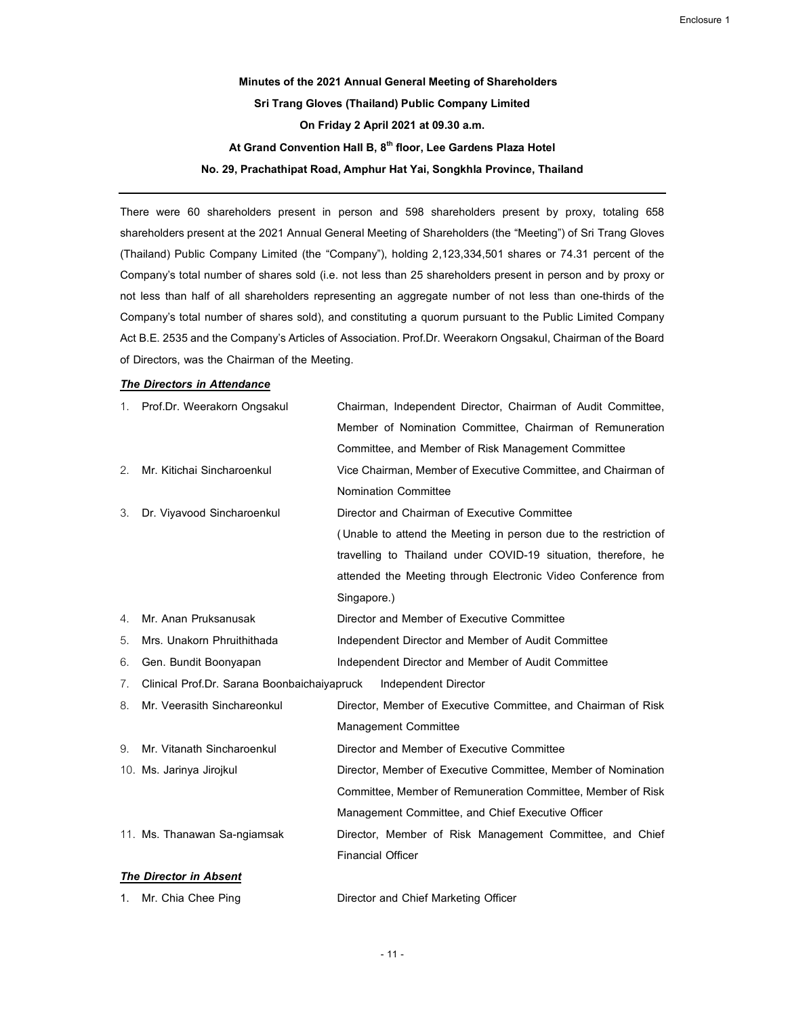Minutes of the 2021 Annual General Meeting of Shareholders Sri Trang Gloves (Thailand) Public Company Limited On Friday 2 April 2021 at 09.30 a.m. At Grand Convention Hall B, 8<sup>th</sup> floor, Lee Gardens Plaza Hotel No. 29, Prachathipat Road, Amphur Hat Yai, Songkhla Province, Thailand

There were 60 shareholders present in person and 598 shareholders present by proxy, totaling 658 shareholders present at the 2021 Annual General Meeting of Shareholders (the "Meeting") of Sri Trang Gloves (Thailand) Public Company Limited (the "Company"), holding 2,123,334,501 shares or 74.31 percent of the Company's total number of shares sold (i.e. not less than 25 shareholders present in person and by proxy or not less than half of all shareholders representing an aggregate number of not less than one-thirds of the Company's total number of shares sold), and constituting a quorum pursuant to the Public Limited Company Act B.E. 2535 and the Company's Articles of Association. Prof.Dr. Weerakorn Ongsakul, Chairman of the Board of Directors, was the Chairman of the Meeting.

#### The Directors in Attendance

|                       | 1. Prof.Dr. Weerakorn Ongsakul              | Chairman, Independent Director, Chairman of Audit Committee,      |
|-----------------------|---------------------------------------------|-------------------------------------------------------------------|
|                       |                                             | Member of Nomination Committee, Chairman of Remuneration          |
|                       |                                             | Committee, and Member of Risk Management Committee                |
| 2.                    | Mr. Kitichai Sincharoenkul                  | Vice Chairman, Member of Executive Committee, and Chairman of     |
|                       |                                             | <b>Nomination Committee</b>                                       |
| 3.                    | Dr. Viyavood Sincharoenkul                  | Director and Chairman of Executive Committee                      |
|                       |                                             | (Unable to attend the Meeting in person due to the restriction of |
|                       |                                             | travelling to Thailand under COVID-19 situation, therefore, he    |
|                       |                                             | attended the Meeting through Electronic Video Conference from     |
|                       |                                             | Singapore.)                                                       |
| $\mathcal{A}_{\cdot}$ | Mr. Anan Pruksanusak                        | Director and Member of Executive Committee                        |
| 5.                    | Mrs. Unakorn Phruithithada                  | Independent Director and Member of Audit Committee                |
| 6.                    | Gen. Bundit Boonyapan                       | Independent Director and Member of Audit Committee                |
| 7.                    | Clinical Prof.Dr. Sarana Boonbaichaiyapruck | Independent Director                                              |
| 8.                    | Mr. Veerasith Sinchareonkul                 | Director, Member of Executive Committee, and Chairman of Risk     |
|                       |                                             | <b>Management Committee</b>                                       |
| 9.                    | Mr. Vitanath Sincharoenkul                  | Director and Member of Executive Committee                        |
|                       | 10. Ms. Jarinya Jirojkul                    | Director, Member of Executive Committee, Member of Nomination     |
|                       |                                             | Committee, Member of Remuneration Committee, Member of Risk       |
|                       |                                             | Management Committee, and Chief Executive Officer                 |
|                       | 11. Ms. Thanawan Sa-ngiamsak                | Director, Member of Risk Management Committee, and Chief          |
|                       |                                             | <b>Financial Officer</b>                                          |
|                       | <b>The Director in Absent</b>               |                                                                   |

1. Mr. Chia Chee Ping **Director and Chief Marketing Officer** 

- 11 -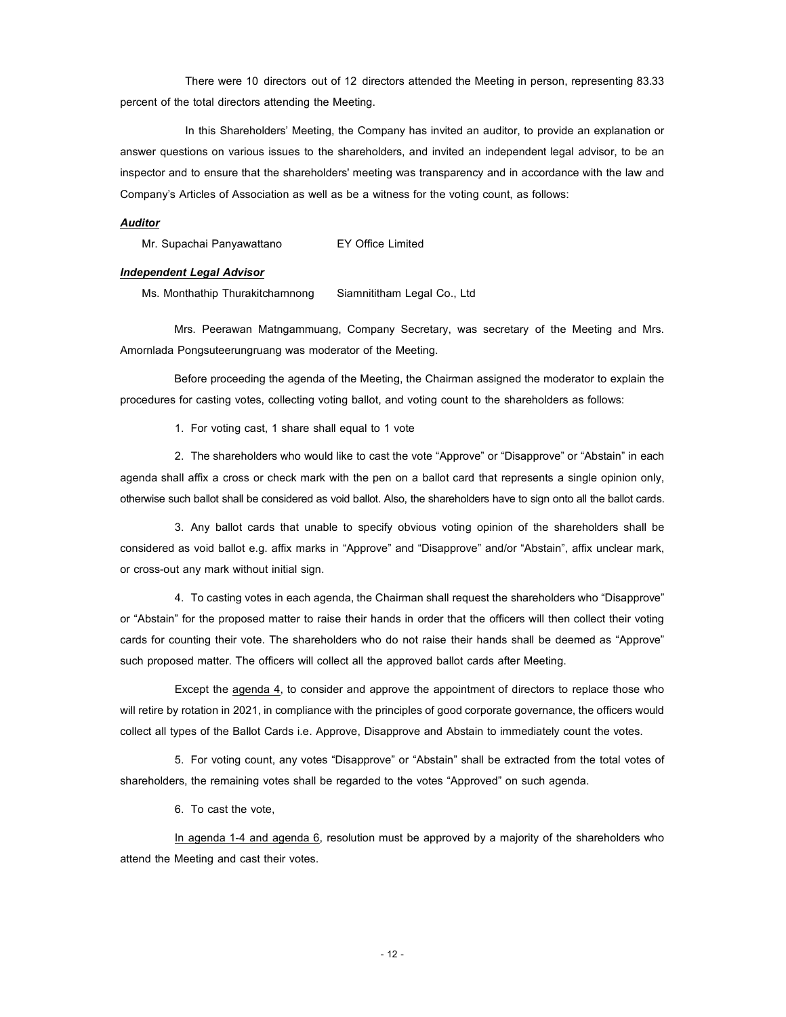There were 10 directors out of 12 directors attended the Meeting in person, representing 83.33 percent of the total directors attending the Meeting.

In this Shareholders' Meeting, the Company has invited an auditor, to provide an explanation or answer questions on various issues to the shareholders, and invited an independent legal advisor, to be an inspector and to ensure that the shareholders' meeting was transparency and in accordance with the law and Company's Articles of Association as well as be a witness for the voting count, as follows:

#### Auditor

Mr. Supachai Panyawattano EY Office Limited

#### Independent Legal Advisor

Ms. Monthathip Thurakitchamnong Siamnititham Legal Co., Ltd

Mrs. Peerawan Matngammuang, Company Secretary, was secretary of the Meeting and Mrs. Amornlada Pongsuteerungruang was moderator of the Meeting.

Before proceeding the agenda of the Meeting, the Chairman assigned the moderator to explain the procedures for casting votes, collecting voting ballot, and voting count to the shareholders as follows:

1. For voting cast, 1 share shall equal to 1 vote

2. The shareholders who would like to cast the vote "Approve" or "Disapprove" or "Abstain" in each agenda shall affix a cross or check mark with the pen on a ballot card that represents a single opinion only, otherwise such ballot shall be considered as void ballot. Also, the shareholders have to sign onto all the ballot cards.

3. Any ballot cards that unable to specify obvious voting opinion of the shareholders shall be considered as void ballot e.g. affix marks in "Approve" and "Disapprove" and/or "Abstain", affix unclear mark, or cross-out any mark without initial sign.

4. To casting votes in each agenda, the Chairman shall request the shareholders who "Disapprove" or "Abstain" for the proposed matter to raise their hands in order that the officers will then collect their voting cards for counting their vote. The shareholders who do not raise their hands shall be deemed as "Approve" such proposed matter. The officers will collect all the approved ballot cards after Meeting.

Except the agenda 4, to consider and approve the appointment of directors to replace those who will retire by rotation in 2021, in compliance with the principles of good corporate governance, the officers would collect all types of the Ballot Cards i.e. Approve, Disapprove and Abstain to immediately count the votes.

5. For voting count, any votes "Disapprove" or "Abstain" shall be extracted from the total votes of shareholders, the remaining votes shall be regarded to the votes "Approved" on such agenda.

6. To cast the vote,

In agenda 1-4 and agenda 6, resolution must be approved by a majority of the shareholders who attend the Meeting and cast their votes.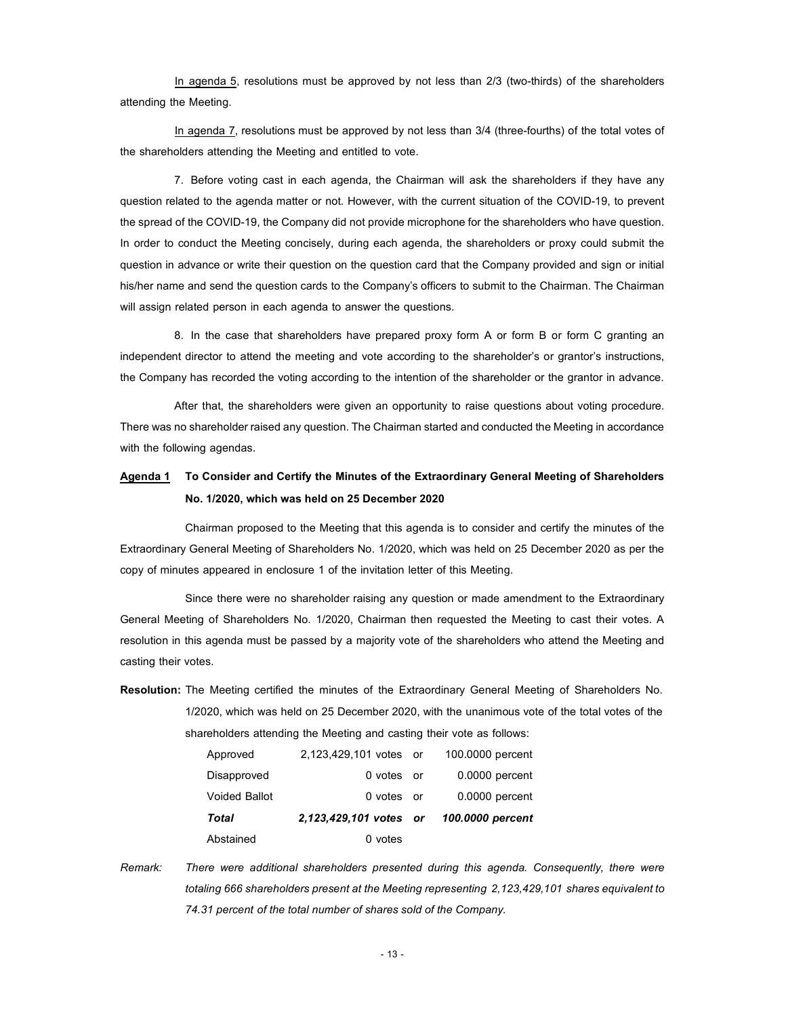In agenda 5, resolutions must be approved by not less than 2/3 (two-thirds) of the shareholders attending the Meeting.

In agenda 7, resolutions must be approved by not less than 3/4 (three-fourths) of the total votes of the shareholders attending the Meeting and entitled to vote.

7. Before voting cast in each agenda, the Chairman will ask the shareholders if they have any question related to the agenda matter or not. However, with the current situation of the COVID-19, to prevent the spread of the COVID-19, the Company did not provide microphone for the shareholders who have question. In order to conduct the Meeting concisely, during each agenda, the shareholders or proxy could submit the question in advance or write their question on the question card that the Company provided and sign or initial his/her name and send the question cards to the Company's officers to submit to the Chairman. The Chairman will assign related person in each agenda to answer the questions.

8. In the case that shareholders have prepared proxy form A or form B or form C granting an independent director to attend the meeting and vote according to the shareholder's or grantor's instructions, the Company has recorded the voting according to the intention of the shareholder or the grantor in advance.

After that, the shareholders were given an opportunity to raise questions about voting procedure. There was no shareholder raised any question. The Chairman started and conducted the Meeting in accordance with the following agendas.

### Agenda 1 To Consider and Certify the Minutes of the Extraordinary General Meeting of Shareholders No. 1/2020, which was held on 25 December 2020

Chairman proposed to the Meeting that this agenda is to consider and certify the minutes of the Extraordinary General Meeting of Shareholders No. 1/2020, which was held on 25 December 2020 as per the copy of minutes appeared in enclosure 1 of the invitation letter of this Meeting.

Since there were no shareholder raising any question or made amendment to the Extraordinary General Meeting of Shareholders No. 1/2020, Chairman then requested the Meeting to cast their votes. A resolution in this agenda must be passed by a majority vote of the shareholders who attend the Meeting and casting their votes.

Resolution: The Meeting certified the minutes of the Extraordinary General Meeting of Shareholders No. 1/2020, which was held on 25 December 2020, with the unanimous vote of the total votes of the shareholders attending the Meeting and casting their vote as follows:

| Abstained            | 0 votes                                 |                  |
|----------------------|-----------------------------------------|------------------|
| Total                | 2,123,429,101 votes or 100.0000 percent |                  |
| <b>Voided Ballot</b> | 0 votes or                              | 0.0000 percent   |
| Disapproved          | 0 votes or                              | $0.0000$ percent |
| Approved             | 2,123,429,101 votes or                  | 100,0000 percent |

Remark: There were additional shareholders presented during this agenda. Consequently, there were totaling 666 shareholders present at the Meeting representing 2,123,429,101 shares equivalent to 74.31 percent of the total number of shares sold of the Company.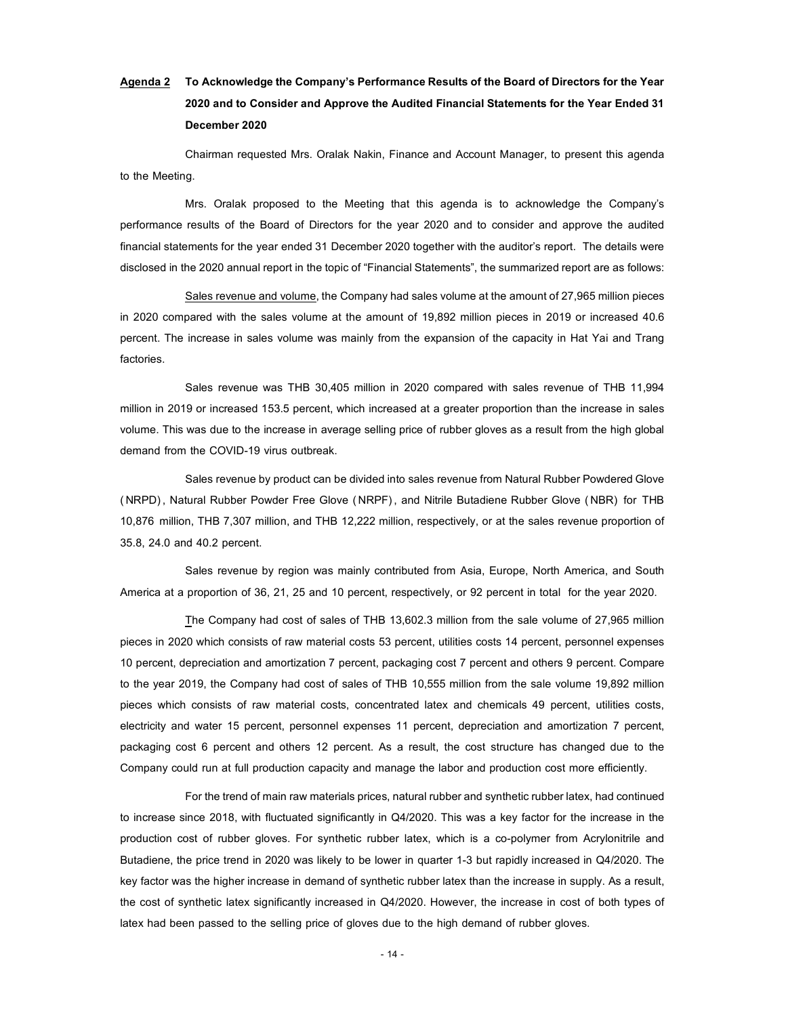# Agenda 2 To Acknowledge the Company's Performance Results of the Board of Directors for the Year 2020 and to Consider and Approve the Audited Financial Statements for the Year Ended 31 December 2020

Chairman requested Mrs. Oralak Nakin, Finance and Account Manager, to present this agenda to the Meeting.

Mrs. Oralak proposed to the Meeting that this agenda is to acknowledge the Company's performance results of the Board of Directors for the year 2020 and to consider and approve the audited financial statements for the year ended 31 December 2020 together with the auditor's report. The details were disclosed in the 2020 annual report in the topic of "Financial Statements", the summarized report are as follows:

Sales revenue and volume, the Company had sales volume at the amount of 27,965 million pieces in 2020 compared with the sales volume at the amount of 19,892 million pieces in 2019 or increased 40.6 percent. The increase in sales volume was mainly from the expansion of the capacity in Hat Yai and Trang factories.

Sales revenue was THB 30,405 million in 2020 compared with sales revenue of THB 11,994 million in 2019 or increased 153.5 percent, which increased at a greater proportion than the increase in sales volume. This was due to the increase in average selling price of rubber gloves as a result from the high global demand from the COVID-19 virus outbreak.

Sales revenue by product can be divided into sales revenue from Natural Rubber Powdered Glove ( NRPD) , Natural Rubber Powder Free Glove (NRPF) , and Nitrile Butadiene Rubber Glove ( NBR) for THB 10,876 million, THB 7,307 million, and THB 12,222 million, respectively, or at the sales revenue proportion of 35.8, 24.0 and 40.2 percent.

Sales revenue by region was mainly contributed from Asia, Europe, North America, and South America at a proportion of 36, 21, 25 and 10 percent, respectively, or 92 percent in total for the year 2020.

The Company had cost of sales of THB 13,602.3 million from the sale volume of 27,965 million pieces in 2020 which consists of raw material costs 53 percent, utilities costs 14 percent, personnel expenses 10 percent, depreciation and amortization 7 percent, packaging cost 7 percent and others 9 percent. Compare to the year 2019, the Company had cost of sales of THB 10,555 million from the sale volume 19,892 million pieces which consists of raw material costs, concentrated latex and chemicals 49 percent, utilities costs, electricity and water 15 percent, personnel expenses 11 percent, depreciation and amortization 7 percent, packaging cost 6 percent and others 12 percent. As a result, the cost structure has changed due to the Company could run at full production capacity and manage the labor and production cost more efficiently.

For the trend of main raw materials prices, natural rubber and synthetic rubber latex, had continued to increase since 2018, with fluctuated significantly in Q4/2020. This was a key factor for the increase in the production cost of rubber gloves. For synthetic rubber latex, which is a co-polymer from Acrylonitrile and Butadiene, the price trend in 2020 was likely to be lower in quarter 1-3 but rapidly increased in Q4/2020. The key factor was the higher increase in demand of synthetic rubber latex than the increase in supply. As a result, the cost of synthetic latex significantly increased in Q4/2020. However, the increase in cost of both types of latex had been passed to the selling price of gloves due to the high demand of rubber gloves.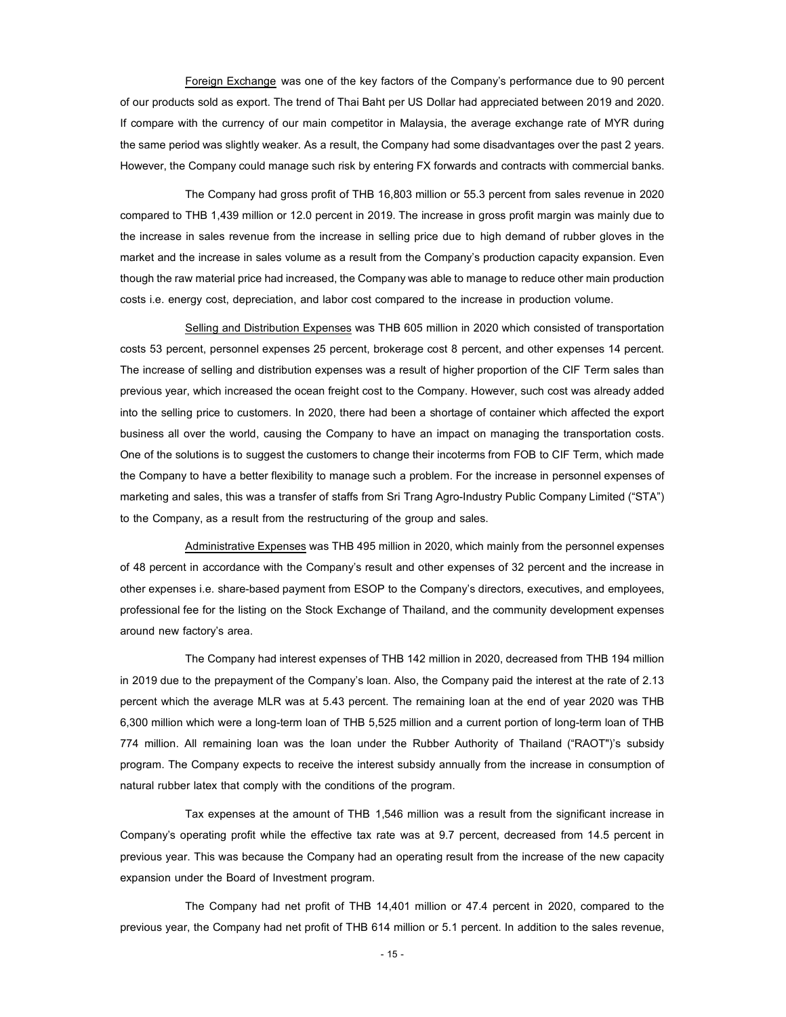Foreign Exchange was one of the key factors of the Company's performance due to 90 percent of our products sold as export. The trend of Thai Baht per US Dollar had appreciated between 2019 and 2020. If compare with the currency of our main competitor in Malaysia, the average exchange rate of MYR during the same period was slightly weaker. As a result, the Company had some disadvantages over the past 2 years. However, the Company could manage such risk by entering FX forwards and contracts with commercial banks.

The Company had gross profit of THB 16,803 million or 55.3 percent from sales revenue in 2020 compared to THB 1,439 million or 12.0 percent in 2019. The increase in gross profit margin was mainly due to the increase in sales revenue from the increase in selling price due to high demand of rubber gloves in the market and the increase in sales volume as a result from the Company's production capacity expansion. Even though the raw material price had increased, the Company was able to manage to reduce other main production costs i.e. energy cost, depreciation, and labor cost compared to the increase in production volume.

Selling and Distribution Expenses was THB 605 million in 2020 which consisted of transportation costs 53 percent, personnel expenses 25 percent, brokerage cost 8 percent, and other expenses 14 percent. The increase of selling and distribution expenses was a result of higher proportion of the CIF Term sales than previous year, which increased the ocean freight cost to the Company. However, such cost was already added into the selling price to customers. In 2020, there had been a shortage of container which affected the export business all over the world, causing the Company to have an impact on managing the transportation costs. One of the solutions is to suggest the customers to change their incoterms from FOB to CIF Term, which made the Company to have a better flexibility to manage such a problem. For the increase in personnel expenses of marketing and sales, this was a transfer of staffs from Sri Trang Agro-Industry Public Company Limited ("STA") to the Company, as a result from the restructuring of the group and sales.

Administrative Expenses was THB 495 million in 2020, which mainly from the personnel expenses of 48 percent in accordance with the Company's result and other expenses of 32 percent and the increase in other expenses i.e. share-based payment from ESOP to the Company's directors, executives, and employees, professional fee for the listing on the Stock Exchange of Thailand, and the community development expenses around new factory's area.

The Company had interest expenses of THB 142 million in 2020, decreased from THB 194 million in 2019 due to the prepayment of the Company's loan. Also, the Company paid the interest at the rate of 2.13 percent which the average MLR was at 5.43 percent. The remaining loan at the end of year 2020 was THB 6,300 million which were a long-term loan of THB 5,525 million and a current portion of long-term loan of THB 774 million. All remaining loan was the loan under the Rubber Authority of Thailand ("RAOT")'s subsidy program. The Company expects to receive the interest subsidy annually from the increase in consumption of natural rubber latex that comply with the conditions of the program.

Tax expenses at the amount of THB 1,546 million was a result from the significant increase in Company's operating profit while the effective tax rate was at 9.7 percent, decreased from 14.5 percent in previous year. This was because the Company had an operating result from the increase of the new capacity expansion under the Board of Investment program.

The Company had net profit of THB 14,401 million or 47.4 percent in 2020, compared to the previous year, the Company had net profit of THB 614 million or 5.1 percent. In addition to the sales revenue,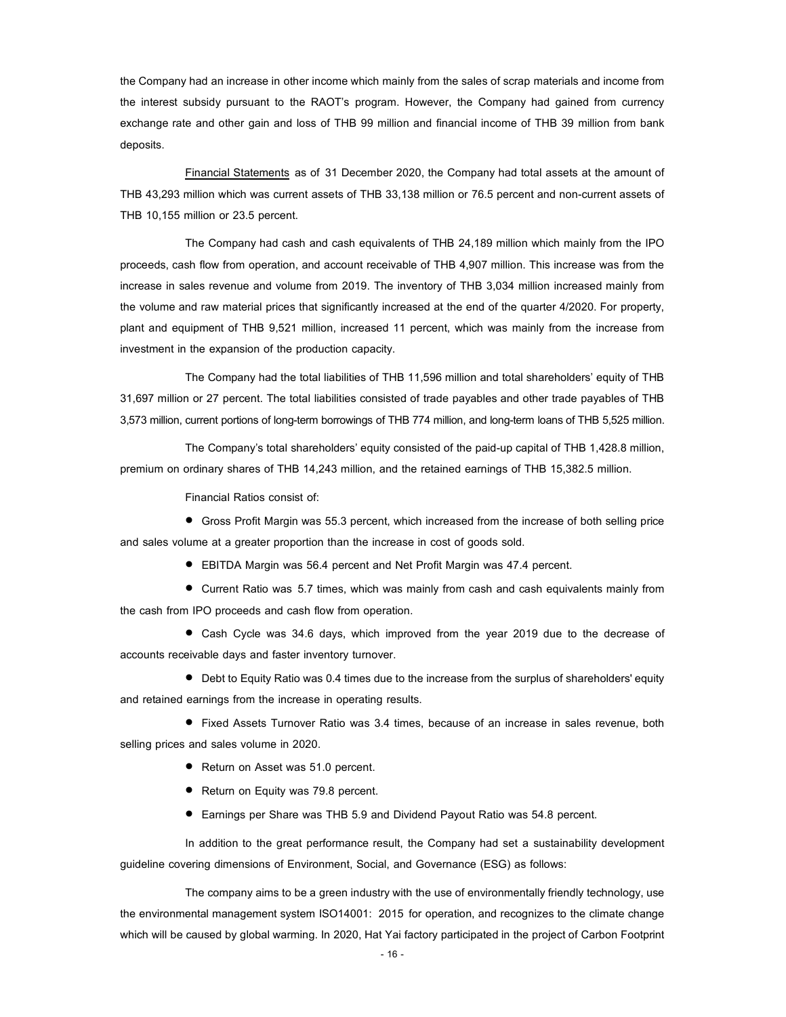the Company had an increase in other income which mainly from the sales of scrap materials and income from the interest subsidy pursuant to the RAOT's program. However, the Company had gained from currency exchange rate and other gain and loss of THB 99 million and financial income of THB 39 million from bank deposits.

Financial Statements as of 31 December 2020, the Company had total assets at the amount of THB 43,293 million which was current assets of THB 33,138 million or 76.5 percent and non-current assets of THB 10,155 million or 23.5 percent.

The Company had cash and cash equivalents of THB 24,189 million which mainly from the IPO proceeds, cash flow from operation, and account receivable of THB 4,907 million. This increase was from the increase in sales revenue and volume from 2019. The inventory of THB 3,034 million increased mainly from the volume and raw material prices that significantly increased at the end of the quarter 4/2020. For property, plant and equipment of THB 9,521 million, increased 11 percent, which was mainly from the increase from investment in the expansion of the production capacity.

The Company had the total liabilities of THB 11,596 million and total shareholders' equity of THB 31,697 million or 27 percent. The total liabilities consisted of trade payables and other trade payables of THB 3,573 million, current portions of long-term borrowings of THB 774 million, and long-term loans of THB 5,525 million.

The Company's total shareholders' equity consisted of the paid-up capital of THB 1,428.8 million, premium on ordinary shares of THB 14,243 million, and the retained earnings of THB 15,382.5 million.

Financial Ratios consist of:

 Gross Profit Margin was 55.3 percent, which increased from the increase of both selling price and sales volume at a greater proportion than the increase in cost of goods sold.

EBITDA Margin was 56.4 percent and Net Profit Margin was 47.4 percent.

 Current Ratio was 5.7 times, which was mainly from cash and cash equivalents mainly from the cash from IPO proceeds and cash flow from operation.

 Cash Cycle was 34.6 days, which improved from the year 2019 due to the decrease of accounts receivable days and faster inventory turnover.

 Debt to Equity Ratio was 0.4 times due to the increase from the surplus of shareholders' equity and retained earnings from the increase in operating results.

 Fixed Assets Turnover Ratio was 3.4 times, because of an increase in sales revenue, both selling prices and sales volume in 2020.

- Return on Asset was 51.0 percent.
- Return on Equity was 79.8 percent.
- Earnings per Share was THB 5.9 and Dividend Payout Ratio was 54.8 percent.

In addition to the great performance result, the Company had set a sustainability development guideline covering dimensions of Environment, Social, and Governance (ESG) as follows:

The company aims to be a green industry with the use of environmentally friendly technology, use the environmental management system ISO14001: 2015 for operation, and recognizes to the climate change which will be caused by global warming. In 2020, Hat Yai factory participated in the project of Carbon Footprint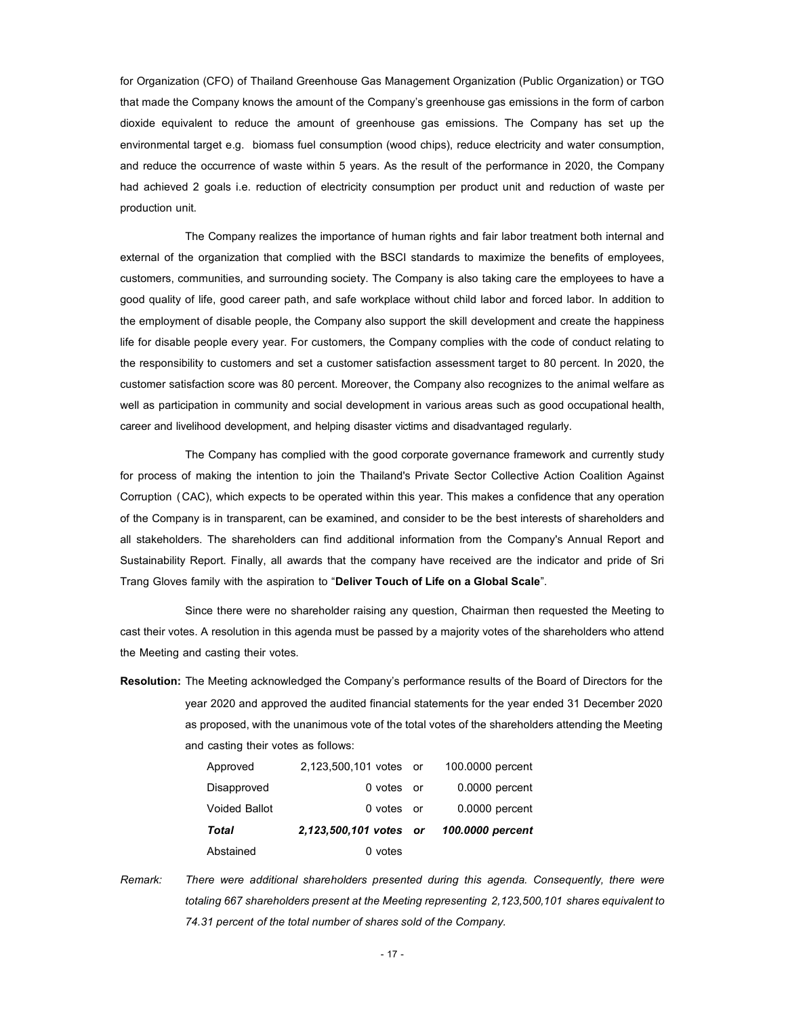for Organization (CFO) of Thailand Greenhouse Gas Management Organization (Public Organization) or TGO that made the Company knows the amount of the Company's greenhouse gas emissions in the form of carbon dioxide equivalent to reduce the amount of greenhouse gas emissions. The Company has set up the environmental target e.g. biomass fuel consumption (wood chips), reduce electricity and water consumption, and reduce the occurrence of waste within 5 years. As the result of the performance in 2020, the Company had achieved 2 goals i.e. reduction of electricity consumption per product unit and reduction of waste per production unit.

The Company realizes the importance of human rights and fair labor treatment both internal and external of the organization that complied with the BSCI standards to maximize the benefits of employees, customers, communities, and surrounding society. The Company is also taking care the employees to have a good quality of life, good career path, and safe workplace without child labor and forced labor. In addition to the employment of disable people, the Company also support the skill development and create the happiness life for disable people every year. For customers, the Company complies with the code of conduct relating to the responsibility to customers and set a customer satisfaction assessment target to 80 percent. In 2020, the customer satisfaction score was 80 percent. Moreover, the Company also recognizes to the animal welfare as well as participation in community and social development in various areas such as good occupational health, career and livelihood development, and helping disaster victims and disadvantaged regularly.

The Company has complied with the good corporate governance framework and currently study for process of making the intention to join the Thailand's Private Sector Collective Action Coalition Against Corruption (CAC), which expects to be operated within this year. This makes a confidence that any operation of the Company is in transparent, can be examined, and consider to be the best interests of shareholders and all stakeholders. The shareholders can find additional information from the Company's Annual Report and Sustainability Report. Finally, all awards that the company have received are the indicator and pride of Sri Trang Gloves family with the aspiration to "Deliver Touch of Life on a Global Scale".

Since there were no shareholder raising any question, Chairman then requested the Meeting to cast their votes. A resolution in this agenda must be passed by a majority votes of the shareholders who attend the Meeting and casting their votes.

Resolution: The Meeting acknowledged the Company's performance results of the Board of Directors for the year 2020 and approved the audited financial statements for the year ended 31 December 2020 as proposed, with the unanimous vote of the total votes of the shareholders attending the Meeting and casting their votes as follows:

| Abstained            | 0 votes                |                  |
|----------------------|------------------------|------------------|
| Total                | 2,123,500,101 votes or | 100,0000 percent |
| <b>Voided Ballot</b> | 0 votes or             | 0.0000 percent   |
| Disapproved          | 0 votes or             | 0.0000 percent   |
| Approved             | 2,123,500,101 votes or | 100,0000 percent |

Remark: There were additional shareholders presented during this agenda. Consequently, there were totaling 667 shareholders present at the Meeting representing 2,123,500,101 shares equivalent to 74.31 percent of the total number of shares sold of the Company.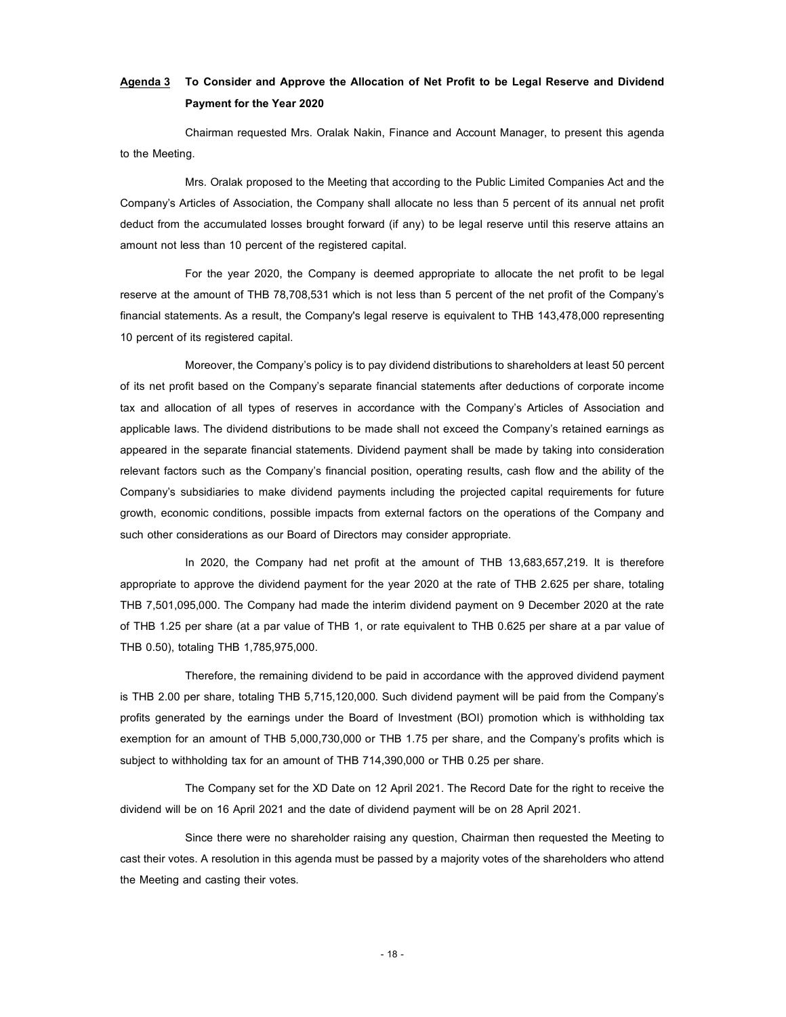# Agenda 3 To Consider and Approve the Allocation of Net Profit to be Legal Reserve and Dividend Payment for the Year 2020

Chairman requested Mrs. Oralak Nakin, Finance and Account Manager, to present this agenda to the Meeting.

Mrs. Oralak proposed to the Meeting that according to the Public Limited Companies Act and the Company's Articles of Association, the Company shall allocate no less than 5 percent of its annual net profit deduct from the accumulated losses brought forward (if any) to be legal reserve until this reserve attains an amount not less than 10 percent of the registered capital.

For the year 2020, the Company is deemed appropriate to allocate the net profit to be legal reserve at the amount of THB 78,708,531 which is not less than 5 percent of the net profit of the Company's financial statements. As a result, the Company's legal reserve is equivalent to THB 143,478,000 representing 10 percent of its registered capital.

Moreover, the Company's policy is to pay dividend distributions to shareholders at least 50 percent of its net profit based on the Company's separate financial statements after deductions of corporate income tax and allocation of all types of reserves in accordance with the Company's Articles of Association and applicable laws. The dividend distributions to be made shall not exceed the Company's retained earnings as appeared in the separate financial statements. Dividend payment shall be made by taking into consideration relevant factors such as the Company's financial position, operating results, cash flow and the ability of the Company's subsidiaries to make dividend payments including the projected capital requirements for future growth, economic conditions, possible impacts from external factors on the operations of the Company and such other considerations as our Board of Directors may consider appropriate.

In 2020, the Company had net profit at the amount of THB 13,683,657,219. It is therefore appropriate to approve the dividend payment for the year 2020 at the rate of THB 2.625 per share, totaling THB 7,501,095,000. The Company had made the interim dividend payment on 9 December 2020 at the rate of THB 1.25 per share (at a par value of THB 1, or rate equivalent to THB 0.625 per share at a par value of THB 0.50), totaling THB 1,785,975,000.

Therefore, the remaining dividend to be paid in accordance with the approved dividend payment is THB 2.00 per share, totaling THB 5,715,120,000. Such dividend payment will be paid from the Company's profits generated by the earnings under the Board of Investment (BOI) promotion which is withholding tax exemption for an amount of THB 5,000,730,000 or THB 1.75 per share, and the Company's profits which is subject to withholding tax for an amount of THB 714,390,000 or THB 0.25 per share.

The Company set for the XD Date on 12 April 2021. The Record Date for the right to receive the dividend will be on 16 April 2021 and the date of dividend payment will be on 28 April 2021.

Since there were no shareholder raising any question, Chairman then requested the Meeting to cast their votes. A resolution in this agenda must be passed by a majority votes of the shareholders who attend the Meeting and casting their votes.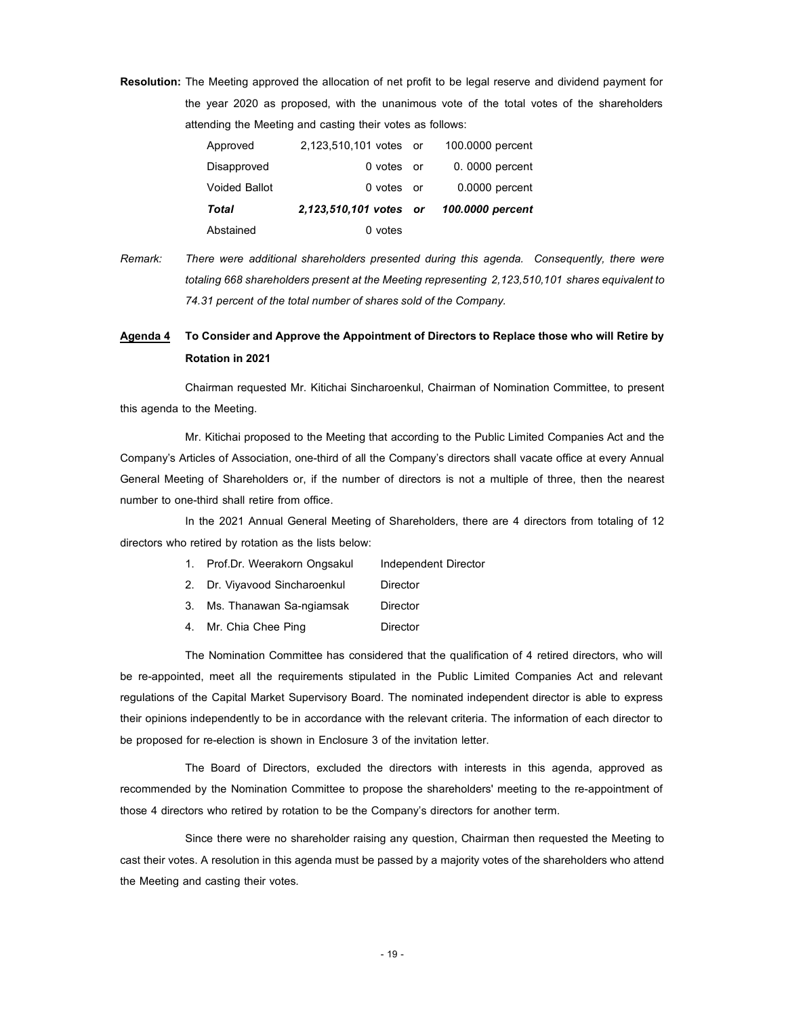Resolution: The Meeting approved the allocation of net profit to be legal reserve and dividend payment for the year 2020 as proposed, with the unanimous vote of the total votes of the shareholders attending the Meeting and casting their votes as follows:

| Abstained     | 0 votes                                 |                  |
|---------------|-----------------------------------------|------------------|
| Total         | 2,123,510,101 votes or 100.0000 percent |                  |
| Voided Ballot | 0 votes or                              | $0.0000$ percent |
| Disapproved   | 0 votes or                              | 0.0000 percent   |
| Approved      | 2,123,510,101 votes or                  | 100,0000 percent |

Remark: There were additional shareholders presented during this agenda. Consequently, there were totaling 668 shareholders present at the Meeting representing 2,123,510,101 shares equivalent to 74.31 percent of the total number of shares sold of the Company.

### Agenda 4 To Consider and Approve the Appointment of Directors to Replace those who will Retire by Rotation in 2021

Chairman requested Mr. Kitichai Sincharoenkul, Chairman of Nomination Committee, to present this agenda to the Meeting.

Mr. Kitichai proposed to the Meeting that according to the Public Limited Companies Act and the Company's Articles of Association, one-third of all the Company's directors shall vacate office at every Annual General Meeting of Shareholders or, if the number of directors is not a multiple of three, then the nearest number to one-third shall retire from office.

In the 2021 Annual General Meeting of Shareholders, there are 4 directors from totaling of 12 directors who retired by rotation as the lists below:

- 1. Prof.Dr. Weerakorn Ongsakul Independent Director
- 2. Dr. Viyavood Sincharoenkul Director
- 3. Ms. Thanawan Sa-ngiamsak Director
- 4. Mr. Chia Chee Ping **Director**

The Nomination Committee has considered that the qualification of 4 retired directors, who will be re-appointed, meet all the requirements stipulated in the Public Limited Companies Act and relevant regulations of the Capital Market Supervisory Board. The nominated independent director is able to express their opinions independently to be in accordance with the relevant criteria. The information of each director to be proposed for re-election is shown in Enclosure 3 of the invitation letter.

The Board of Directors, excluded the directors with interests in this agenda, approved as recommended by the Nomination Committee to propose the shareholders' meeting to the re-appointment of those 4 directors who retired by rotation to be the Company's directors for another term.

Since there were no shareholder raising any question, Chairman then requested the Meeting to cast their votes. A resolution in this agenda must be passed by a majority votes of the shareholders who attend the Meeting and casting their votes.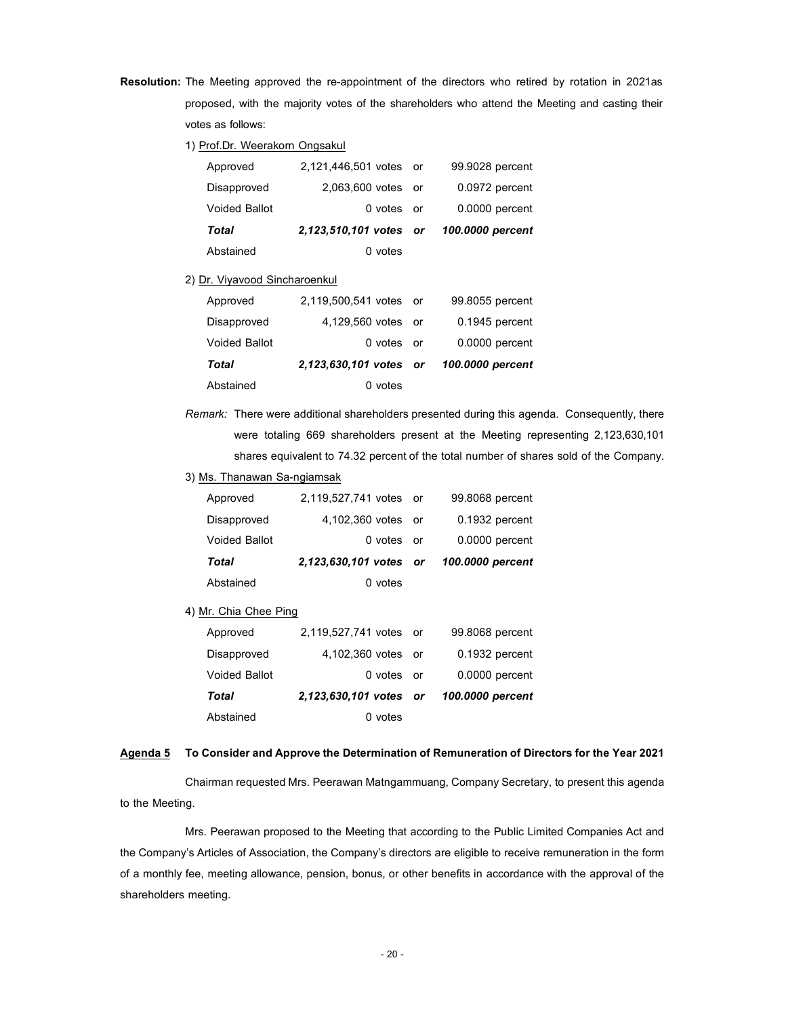- Resolution: The Meeting approved the re-appointment of the directors who retired by rotation in 2021as proposed, with the majority votes of the shareholders who attend the Meeting and casting their votes as follows:
	- 1) Prof.Dr. Weerakorn Ongsakul

| Approved                      | 2,121,446,501 votes or |    | 99.9028 percent  |
|-------------------------------|------------------------|----|------------------|
| Disapproved                   | 2.063.600 votes or     |    | 0.0972 percent   |
| <b>Voided Ballot</b>          | 0 votes or             |    | 0.0000 percent   |
| Total                         | 2,123,510,101 votes or |    | 100.0000 percent |
| Abstained                     | $0$ votes              |    |                  |
| 2) Dr. Viyavood Sincharoenkul |                        |    |                  |
| Approved                      | 2,119,500,541 votes or |    | 99.8055 percent  |
| Disapproved                   | 4.129.560 votes        | or | 0.1945 percent   |

|               |                                         | . <i>.</i>       |
|---------------|-----------------------------------------|------------------|
| Voided Ballot | 0 votes or                              | $0.0000$ percent |
| Total         | 2,123,630,101 votes or 100.0000 percent |                  |
| Abstained     | 0 votes                                 |                  |

- Remark: There were additional shareholders presented during this agenda. Consequently, there were totaling 669 shareholders present at the Meeting representing 2,123,630,101 shares equivalent to 74.32 percent of the total number of shares sold of the Company.
- 3) Ms. Thanawan Sa-ngiamsak

| Abstained            | 0 votes                |                  |
|----------------------|------------------------|------------------|
| Total                | 2,123,630,101 votes or | 100,0000 percent |
| <b>Voided Ballot</b> | 0 votes or             | 0.0000 percent   |
| Disapproved          | 4,102,360 votes or     | 0.1932 percent   |
| Approved             | 2,119,527,741 votes or | 99.8068 percent  |

4) Mr. Chia Chee Ping

| Approved             | 2,119,527,741 votes or | 99.8068 percent  |
|----------------------|------------------------|------------------|
| Disapproved          | 4,102,360 votes or     | 0.1932 percent   |
| <b>Voided Ballot</b> | 0 votes or             | 0.0000 percent   |
| Total                | 2,123,630,101 votes or | 100,0000 percent |
| Abstained            | 0 votes                |                  |

### Agenda 5 To Consider and Approve the Determination of Remuneration of Directors for the Year 2021

Chairman requested Mrs. Peerawan Matngammuang, Company Secretary, to present this agenda to the Meeting.

Mrs. Peerawan proposed to the Meeting that according to the Public Limited Companies Act and the Company's Articles of Association, the Company's directors are eligible to receive remuneration in the form of a monthly fee, meeting allowance, pension, bonus, or other benefits in accordance with the approval of the shareholders meeting.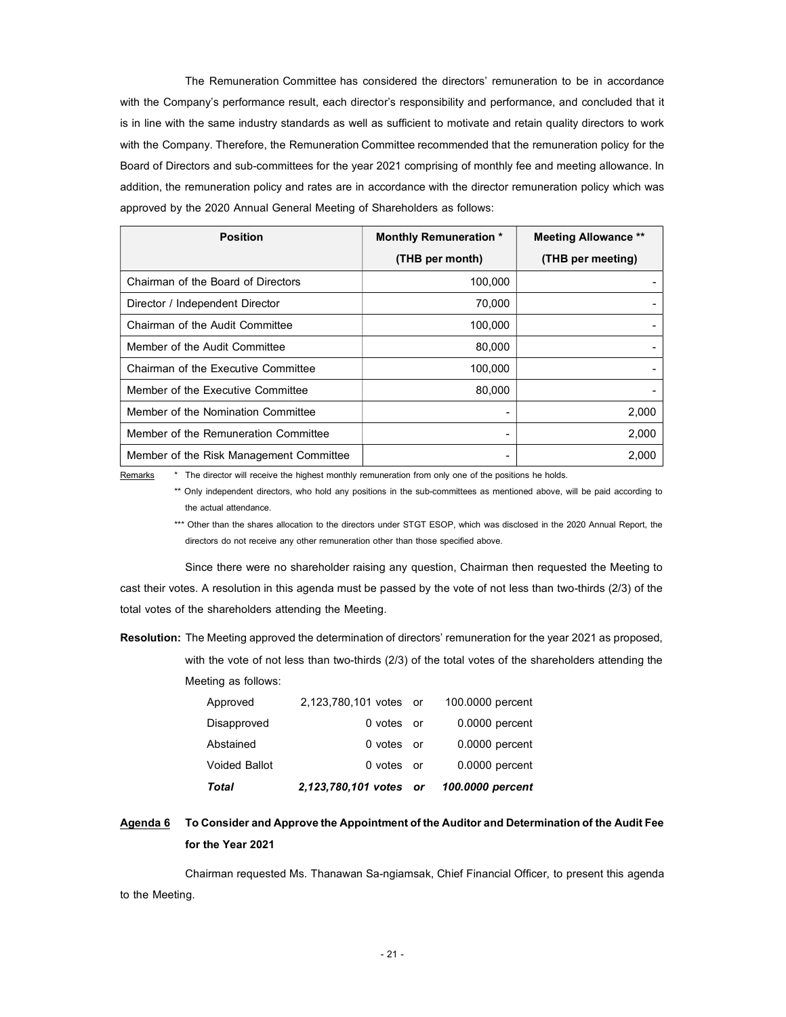The Remuneration Committee has considered the directors' remuneration to be in accordance with the Company's performance result, each director's responsibility and performance, and concluded that it is in line with the same industry standards as well as sufficient to motivate and retain quality directors to work with the Company. Therefore, the Remuneration Committeerecommended that the remuneration policy for the Board of Directors and sub-committees for the year 2021 comprising of monthly fee and meeting allowance. In addition, the remuneration policy and rates are in accordance with the director remuneration policy which was approved by the 2020 Annual General Meeting of Shareholders as follows:

| <b>Position</b>                         | <b>Monthly Remuneration *</b> | <b>Meeting Allowance **</b> |
|-----------------------------------------|-------------------------------|-----------------------------|
|                                         | (THB per month)               | (THB per meeting)           |
| Chairman of the Board of Directors      | 100,000                       |                             |
| Director / Independent Director         | 70,000                        |                             |
| Chairman of the Audit Committee         | 100,000                       |                             |
| Member of the Audit Committee           | 80,000                        |                             |
| Chairman of the Executive Committee     | 100.000                       |                             |
| Member of the Executive Committee       | 80,000                        |                             |
| Member of the Nomination Committee      |                               | 2,000                       |
| Member of the Remuneration Committee    |                               | 2,000                       |
| Member of the Risk Management Committee |                               | 2,000                       |

Remarks \* The director will receive the highest monthly remuneration from only one of the positions he holds.

\*\* Only independent directors, who hold any positions in the sub-committees as mentioned above, will be paid according to the actual attendance.

\*\*\* Other than the shares allocation to the directors under STGT ESOP, which was disclosed in the 2020 Annual Report, the directors do not receive any other remuneration other than those specified above.

Since there were no shareholder raising any question, Chairman then requested the Meeting to cast their votes. A resolution in this agenda must be passed by the vote of not less than two-thirds (2/3) of the total votes of the shareholders attending the Meeting.

Resolution: The Meeting approved the determination of directors' remuneration for the year 2021 as proposed, with the vote of not less than two-thirds (2/3) of the total votes of the shareholders attending the Meeting as follows:

| Total                | 2,123,780,101 votes or 100.0000 percent |                  |
|----------------------|-----------------------------------------|------------------|
| <b>Voided Ballot</b> | 0 votes or                              | 0.0000 percent   |
| Abstained            | 0 votes or                              | $0.0000$ percent |
| Disapproved          | 0 votes or                              | $0.0000$ percent |
| Approved             | 2,123,780,101 votes or                  | 100,0000 percent |

### Agenda 6 To Consider and Approve the Appointment of the Auditor and Determination of the Audit Fee for the Year 2021

Chairman requested Ms. Thanawan Sa-ngiamsak, Chief Financial Officer, to present this agenda to the Meeting.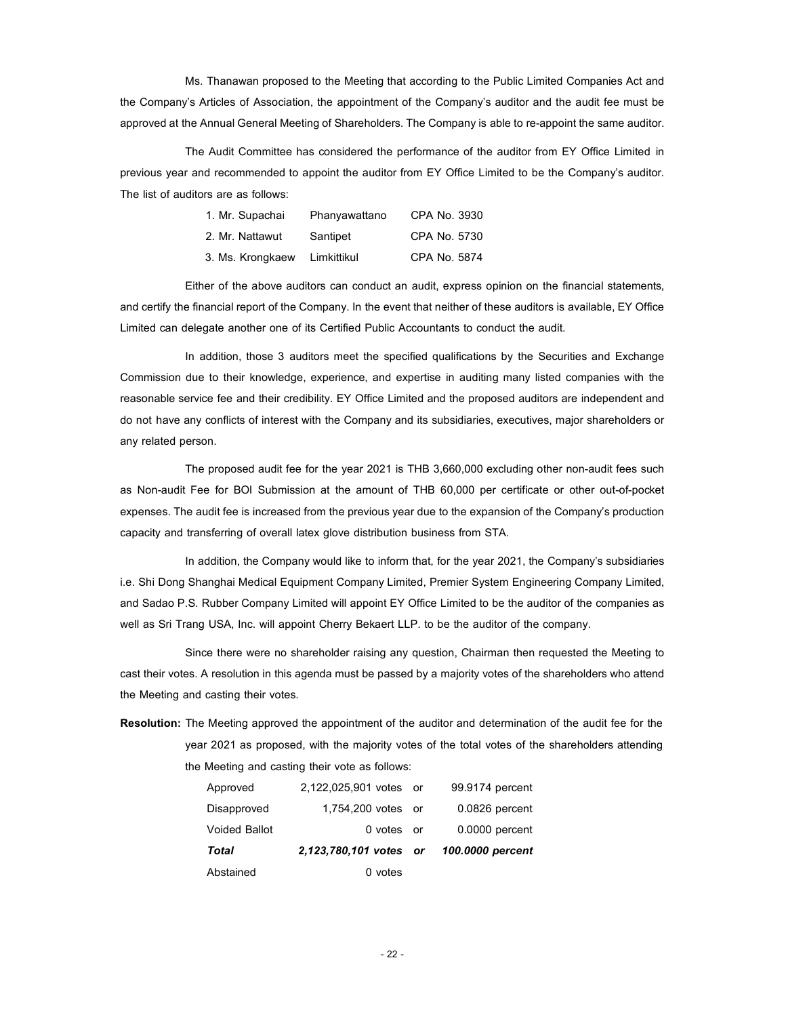Ms. Thanawan proposed to the Meeting that according to the Public Limited Companies Act and the Company's Articles of Association, the appointment of the Company's auditor and the audit fee must be approved at the Annual General Meeting of Shareholders. The Company is able to re-appoint the same auditor.

The Audit Committee has considered the performance of the auditor from EY Office Limited in previous year and recommended to appoint the auditor from EY Office Limited to be the Company's auditor. The list of auditors are as follows:

| 1. Mr. Supachai  | Phanyawattano | CPA No. 3930 |
|------------------|---------------|--------------|
| 2. Mr. Nattawut  | Santipet      | CPA No. 5730 |
| 3. Ms. Krongkaew | Limkittikul   | CPA No. 5874 |

Either of the above auditors can conduct an audit, express opinion on the financial statements, and certify the financial report of the Company. In the event that neither of these auditors is available, EY Office Limited can delegate another one of its Certified Public Accountants to conduct the audit.

In addition, those 3 auditors meet the specified qualifications by the Securities and Exchange Commission due to their knowledge, experience, and expertise in auditing many listed companies with the reasonable service fee and their credibility. EY Office Limited and the proposed auditors are independent and do not have any conflicts of interest with the Company and its subsidiaries, executives, major shareholders or any related person.

The proposed audit fee for the year 2021 is THB 3,660,000 excluding other non-audit fees such as Non-audit Fee for BOI Submission at the amount of THB 60,000 per certificate or other out-of-pocket expenses. The audit fee is increased from the previous year due to the expansion of the Company's production capacity and transferring of overall latex glove distribution business from STA.

In addition, the Company would like to inform that, for the year 2021, the Company's subsidiaries i.e. Shi Dong Shanghai Medical Equipment Company Limited, Premier System Engineering Company Limited, and Sadao P.S. Rubber Company Limited will appoint EY Office Limited to be the auditor of the companies as well as Sri Trang USA, Inc. will appoint Cherry Bekaert LLP. to be the auditor of the company.

Since there were no shareholder raising any question, Chairman then requested the Meeting to cast their votes. A resolution in this agenda must be passed by a majority votes of the shareholders who attend the Meeting and casting their votes.

Resolution: The Meeting approved the appointment of the auditor and determination of the audit fee for the year 2021 as proposed, with the majority votes of the total votes of the shareholders attending the Meeting and casting their vote as follows:

| Abstained            | 0 votes                |                  |
|----------------------|------------------------|------------------|
| Total                | 2,123,780,101 votes or | 100,0000 percent |
| <b>Voided Ballot</b> | 0 votes or             | 0.0000 percent   |
| Disapproved          | 1,754,200 votes or     | 0.0826 percent   |
| Approved             | 2,122,025,901 votes or | 99.9174 percent  |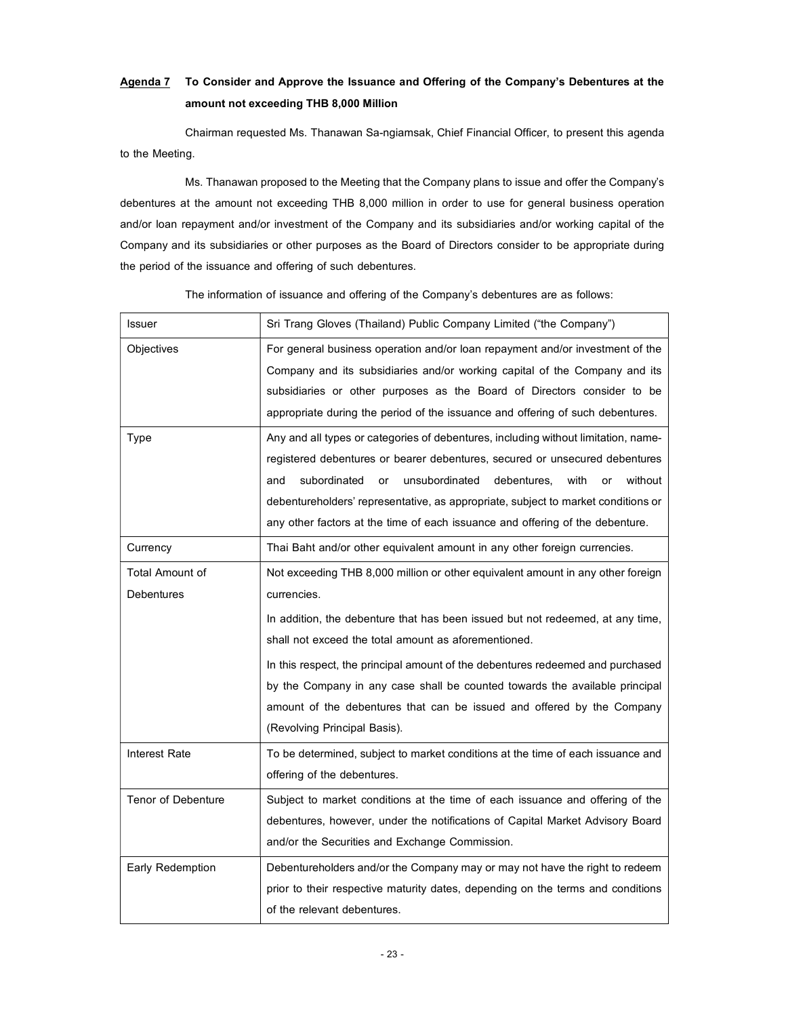# Agenda 7 To Consider and Approve the Issuance and Offering of the Company's Debentures at the amount not exceeding THB 8,000 Million

Chairman requested Ms. Thanawan Sa-ngiamsak, Chief Financial Officer, to present this agenda to the Meeting.

Ms. Thanawan proposed to the Meeting that the Company plans to issue and offer the Company's debentures at the amount not exceeding THB 8,000 million in order to use for general business operation and/or loan repayment and/or investment of the Company and its subsidiaries and/or working capital of the Company and its subsidiaries or other purposes as the Board of Directors consider to be appropriate during the period of the issuance and offering of such debentures.

| Issuer                 | Sri Trang Gloves (Thailand) Public Company Limited ("the Company")                  |
|------------------------|-------------------------------------------------------------------------------------|
| Objectives             | For general business operation and/or loan repayment and/or investment of the       |
|                        | Company and its subsidiaries and/or working capital of the Company and its          |
|                        | subsidiaries or other purposes as the Board of Directors consider to be             |
|                        | appropriate during the period of the issuance and offering of such debentures.      |
| <b>Type</b>            | Any and all types or categories of debentures, including without limitation, name-  |
|                        | registered debentures or bearer debentures, secured or unsecured debentures         |
|                        | subordinated<br>unsubordinated<br>without<br>and<br>debentures,<br>with<br>or<br>or |
|                        | debentureholders' representative, as appropriate, subject to market conditions or   |
|                        | any other factors at the time of each issuance and offering of the debenture.       |
| Currency               | Thai Baht and/or other equivalent amount in any other foreign currencies.           |
| <b>Total Amount of</b> | Not exceeding THB 8,000 million or other equivalent amount in any other foreign     |
| <b>Debentures</b>      | currencies.                                                                         |
|                        | In addition, the debenture that has been issued but not redeemed, at any time,      |
|                        | shall not exceed the total amount as aforementioned.                                |
|                        | In this respect, the principal amount of the debentures redeemed and purchased      |
|                        | by the Company in any case shall be counted towards the available principal         |
|                        | amount of the debentures that can be issued and offered by the Company              |
|                        | (Revolving Principal Basis).                                                        |
| <b>Interest Rate</b>   | To be determined, subject to market conditions at the time of each issuance and     |
|                        | offering of the debentures.                                                         |
| Tenor of Debenture     | Subject to market conditions at the time of each issuance and offering of the       |
|                        | debentures, however, under the notifications of Capital Market Advisory Board       |
|                        | and/or the Securities and Exchange Commission.                                      |
| Early Redemption       | Debentureholders and/or the Company may or may not have the right to redeem         |
|                        | prior to their respective maturity dates, depending on the terms and conditions     |
|                        | of the relevant debentures.                                                         |

The information of issuance and offering of the Company's debentures are as follows: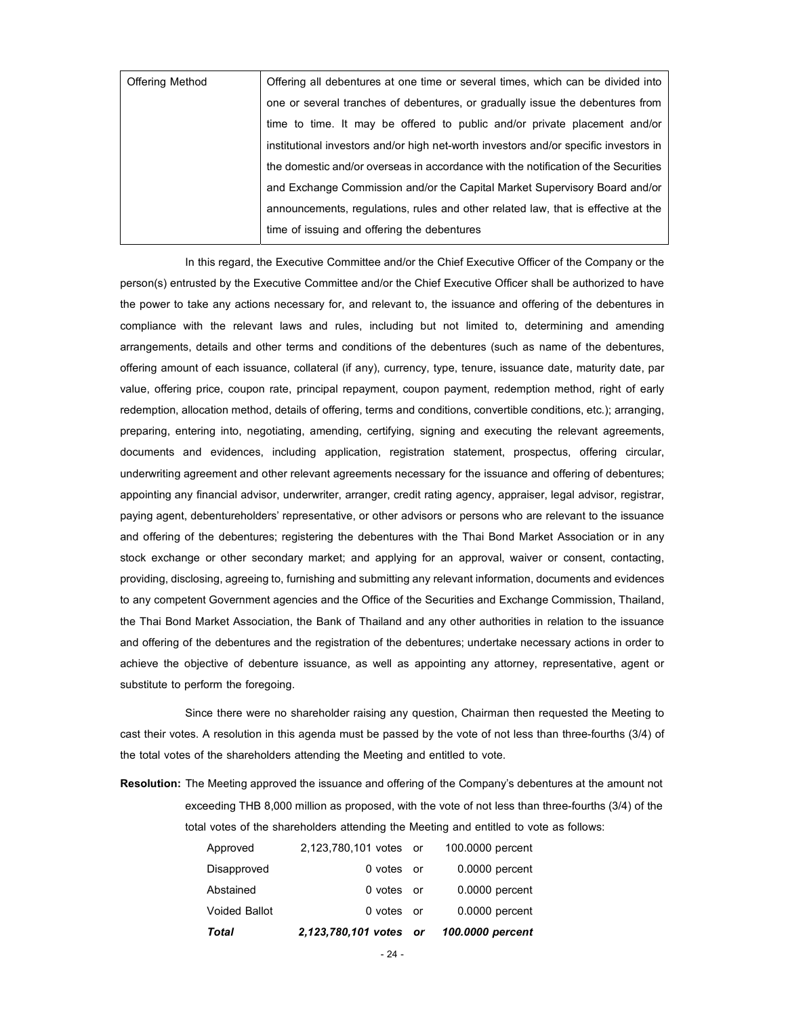| <b>Offering Method</b> | Offering all debentures at one time or several times, which can be divided into      |
|------------------------|--------------------------------------------------------------------------------------|
|                        | one or several tranches of debentures, or gradually issue the debentures from        |
|                        | time to time. It may be offered to public and/or private placement and/or            |
|                        | institutional investors and/or high net-worth investors and/or specific investors in |
|                        | the domestic and/or overseas in accordance with the notification of the Securities   |
|                        | and Exchange Commission and/or the Capital Market Supervisory Board and/or           |
|                        | announcements, regulations, rules and other related law, that is effective at the    |
|                        | time of issuing and offering the debentures                                          |

In this regard, the Executive Committee and/or the Chief Executive Officer of the Company or the person(s) entrusted by the Executive Committee and/or the Chief Executive Officer shall be authorized to have the power to take any actions necessary for, and relevant to, the issuance and offering of the debentures in compliance with the relevant laws and rules, including but not limited to, determining and amending arrangements, details and other terms and conditions of the debentures (such as name of the debentures, offering amount of each issuance, collateral (if any), currency, type, tenure, issuance date, maturity date, par value, offering price, coupon rate, principal repayment, coupon payment, redemption method, right of early redemption, allocation method, details of offering, terms and conditions, convertible conditions, etc.); arranging, preparing, entering into, negotiating, amending, certifying, signing and executing the relevant agreements, documents and evidences, including application, registration statement, prospectus, offering circular, underwriting agreement and other relevant agreements necessary for the issuance and offering of debentures; appointing any financial advisor, underwriter, arranger, credit rating agency, appraiser, legal advisor, registrar, paying agent, debentureholders' representative, or other advisors or persons who are relevant to the issuance and offering of the debentures; registering the debentures with the Thai Bond Market Association or in any stock exchange or other secondary market; and applying for an approval, waiver or consent, contacting, providing, disclosing, agreeing to, furnishing and submitting any relevant information, documents and evidences to any competent Government agencies and the Office of the Securities and Exchange Commission, Thailand, the Thai Bond Market Association, the Bank of Thailand and any other authorities in relation to the issuance and offering of the debentures and the registration of the debentures; undertake necessary actions in order to achieve the objective of debenture issuance, as well as appointing any attorney, representative, agent or substitute to perform the foregoing.

Since there were no shareholder raising any question, Chairman then requested the Meeting to cast their votes. A resolution in this agenda must be passed by the vote of not less than three-fourths (3/4) of the total votes of the shareholders attending the Meeting and entitled to vote.

Resolution: The Meeting approved the issuance and offering of the Company's debentures at the amount not exceeding THB 8,000 million as proposed, with the vote of not less than three-fourths (3/4) of the total votes of the shareholders attending the Meeting and entitled to vote as follows:

| Total         | 2,123,780,101 votes or | 100.0000 percent |
|---------------|------------------------|------------------|
| Voided Ballot | 0 votes or             | 0.0000 percent   |
| Abstained     | 0 votes or             | $0.0000$ percent |
| Disapproved   | 0 votes or             | $0.0000$ percent |
| Approved      | 2,123,780,101 votes or | 100,0000 percent |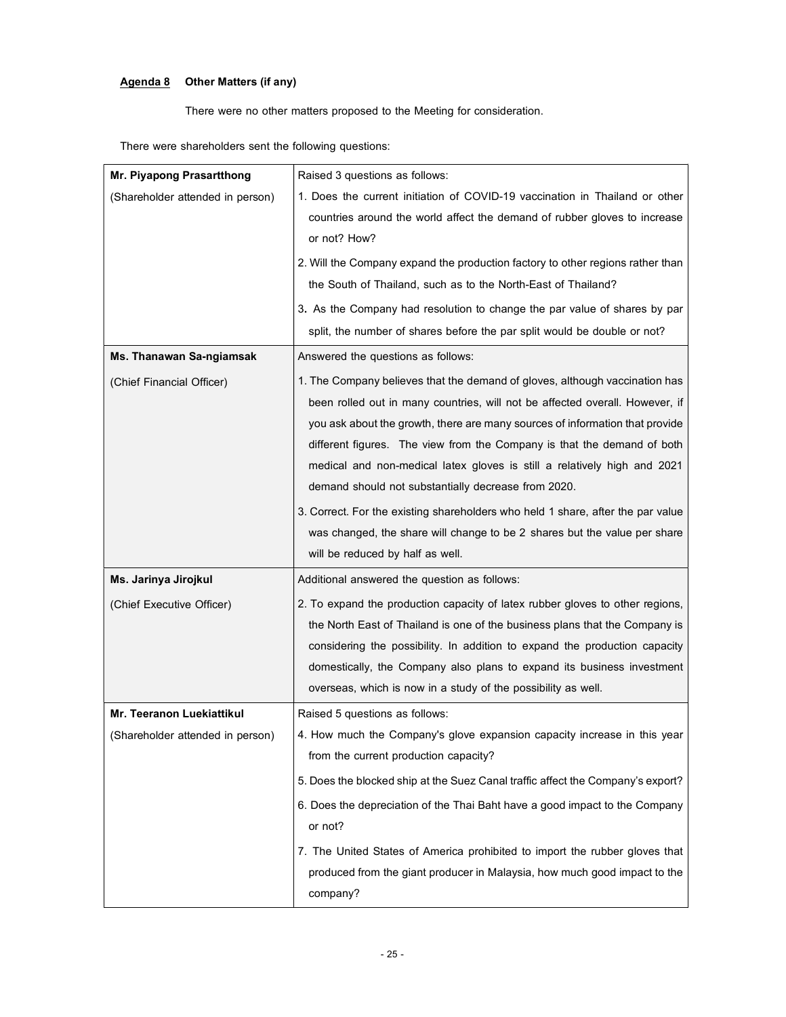# Agenda 8 Other Matters (if any)

There were no other matters proposed to the Meeting for consideration.

There were shareholders sent the following questions:

| Mr. Piyapong Prasartthong        | Raised 3 questions as follows:                                                                                                                                                                                                                                                                                         |
|----------------------------------|------------------------------------------------------------------------------------------------------------------------------------------------------------------------------------------------------------------------------------------------------------------------------------------------------------------------|
| (Shareholder attended in person) | 1. Does the current initiation of COVID-19 vaccination in Thailand or other                                                                                                                                                                                                                                            |
|                                  | countries around the world affect the demand of rubber gloves to increase                                                                                                                                                                                                                                              |
|                                  | or not? How?                                                                                                                                                                                                                                                                                                           |
|                                  | 2. Will the Company expand the production factory to other regions rather than                                                                                                                                                                                                                                         |
|                                  | the South of Thailand, such as to the North-East of Thailand?                                                                                                                                                                                                                                                          |
|                                  | 3. As the Company had resolution to change the par value of shares by par                                                                                                                                                                                                                                              |
|                                  | split, the number of shares before the par split would be double or not?                                                                                                                                                                                                                                               |
| Ms. Thanawan Sa-ngiamsak         | Answered the questions as follows:                                                                                                                                                                                                                                                                                     |
| (Chief Financial Officer)        | 1. The Company believes that the demand of gloves, although vaccination has<br>been rolled out in many countries, will not be affected overall. However, if<br>you ask about the growth, there are many sources of information that provide<br>different figures. The view from the Company is that the demand of both |
|                                  | medical and non-medical latex gloves is still a relatively high and 2021                                                                                                                                                                                                                                               |
|                                  | demand should not substantially decrease from 2020.                                                                                                                                                                                                                                                                    |
|                                  | 3. Correct. For the existing shareholders who held 1 share, after the par value                                                                                                                                                                                                                                        |
|                                  | was changed, the share will change to be 2 shares but the value per share                                                                                                                                                                                                                                              |
|                                  | will be reduced by half as well.                                                                                                                                                                                                                                                                                       |
| Ms. Jarinya Jirojkul             | Additional answered the question as follows:                                                                                                                                                                                                                                                                           |
| (Chief Executive Officer)        | 2. To expand the production capacity of latex rubber gloves to other regions,                                                                                                                                                                                                                                          |
|                                  | the North East of Thailand is one of the business plans that the Company is                                                                                                                                                                                                                                            |
|                                  | considering the possibility. In addition to expand the production capacity<br>domestically, the Company also plans to expand its business investment                                                                                                                                                                   |
|                                  | overseas, which is now in a study of the possibility as well.                                                                                                                                                                                                                                                          |
|                                  |                                                                                                                                                                                                                                                                                                                        |
| Mr. Teeranon Luekiattikul        | Raised 5 questions as follows:<br>4. How much the Company's glove expansion capacity increase in this year                                                                                                                                                                                                             |
| (Shareholder attended in person) | from the current production capacity?                                                                                                                                                                                                                                                                                  |
|                                  | 5. Does the blocked ship at the Suez Canal traffic affect the Company's export?                                                                                                                                                                                                                                        |
|                                  | 6. Does the depreciation of the Thai Baht have a good impact to the Company                                                                                                                                                                                                                                            |
|                                  | or not?                                                                                                                                                                                                                                                                                                                |
|                                  | 7. The United States of America prohibited to import the rubber gloves that                                                                                                                                                                                                                                            |
|                                  | produced from the giant producer in Malaysia, how much good impact to the                                                                                                                                                                                                                                              |
|                                  | company?                                                                                                                                                                                                                                                                                                               |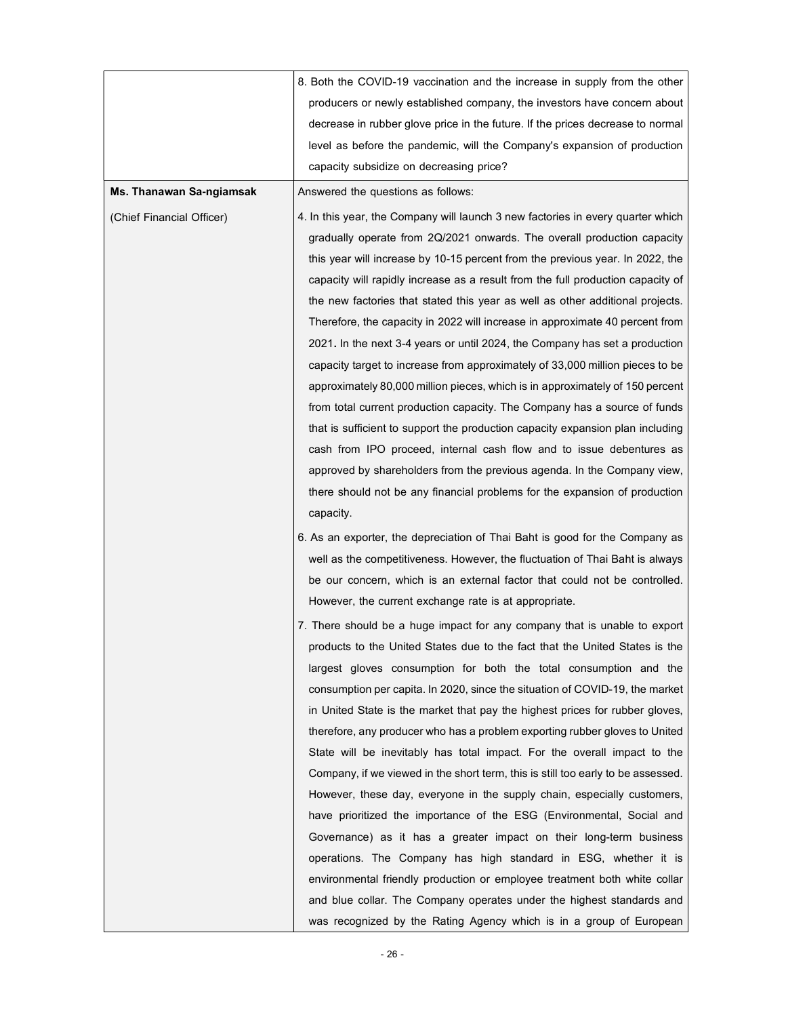|                           | 8. Both the COVID-19 vaccination and the increase in supply from the other       |
|---------------------------|----------------------------------------------------------------------------------|
|                           | producers or newly established company, the investors have concern about         |
|                           | decrease in rubber glove price in the future. If the prices decrease to normal   |
|                           | level as before the pandemic, will the Company's expansion of production         |
|                           | capacity subsidize on decreasing price?                                          |
| Ms. Thanawan Sa-ngiamsak  | Answered the questions as follows:                                               |
| (Chief Financial Officer) | 4. In this year, the Company will launch 3 new factories in every quarter which  |
|                           | gradually operate from 2Q/2021 onwards. The overall production capacity          |
|                           | this year will increase by 10-15 percent from the previous year. In 2022, the    |
|                           | capacity will rapidly increase as a result from the full production capacity of  |
|                           | the new factories that stated this year as well as other additional projects.    |
|                           | Therefore, the capacity in 2022 will increase in approximate 40 percent from     |
|                           | 2021. In the next 3-4 years or until 2024, the Company has set a production      |
|                           | capacity target to increase from approximately of 33,000 million pieces to be    |
|                           | approximately 80,000 million pieces, which is in approximately of 150 percent    |
|                           | from total current production capacity. The Company has a source of funds        |
|                           | that is sufficient to support the production capacity expansion plan including   |
|                           | cash from IPO proceed, internal cash flow and to issue debentures as             |
|                           | approved by shareholders from the previous agenda. In the Company view,          |
|                           | there should not be any financial problems for the expansion of production       |
|                           | capacity.                                                                        |
|                           | 6. As an exporter, the depreciation of Thai Baht is good for the Company as      |
|                           | well as the competitiveness. However, the fluctuation of Thai Baht is always     |
|                           | be our concern, which is an external factor that could not be controlled.        |
|                           | However, the current exchange rate is at appropriate.                            |
|                           | 7. There should be a huge impact for any company that is unable to export        |
|                           | products to the United States due to the fact that the United States is the      |
|                           | largest gloves consumption for both the total consumption and the                |
|                           | consumption per capita. In 2020, since the situation of COVID-19, the market     |
|                           | in United State is the market that pay the highest prices for rubber gloves,     |
|                           | therefore, any producer who has a problem exporting rubber gloves to United      |
|                           | State will be inevitably has total impact. For the overall impact to the         |
|                           | Company, if we viewed in the short term, this is still too early to be assessed. |
|                           | However, these day, everyone in the supply chain, especially customers,          |
|                           | have prioritized the importance of the ESG (Environmental, Social and            |
|                           | Governance) as it has a greater impact on their long-term business               |
|                           | operations. The Company has high standard in ESG, whether it is                  |
|                           | environmental friendly production or employee treatment both white collar        |
|                           | and blue collar. The Company operates under the highest standards and            |
|                           | was recognized by the Rating Agency which is in a group of European              |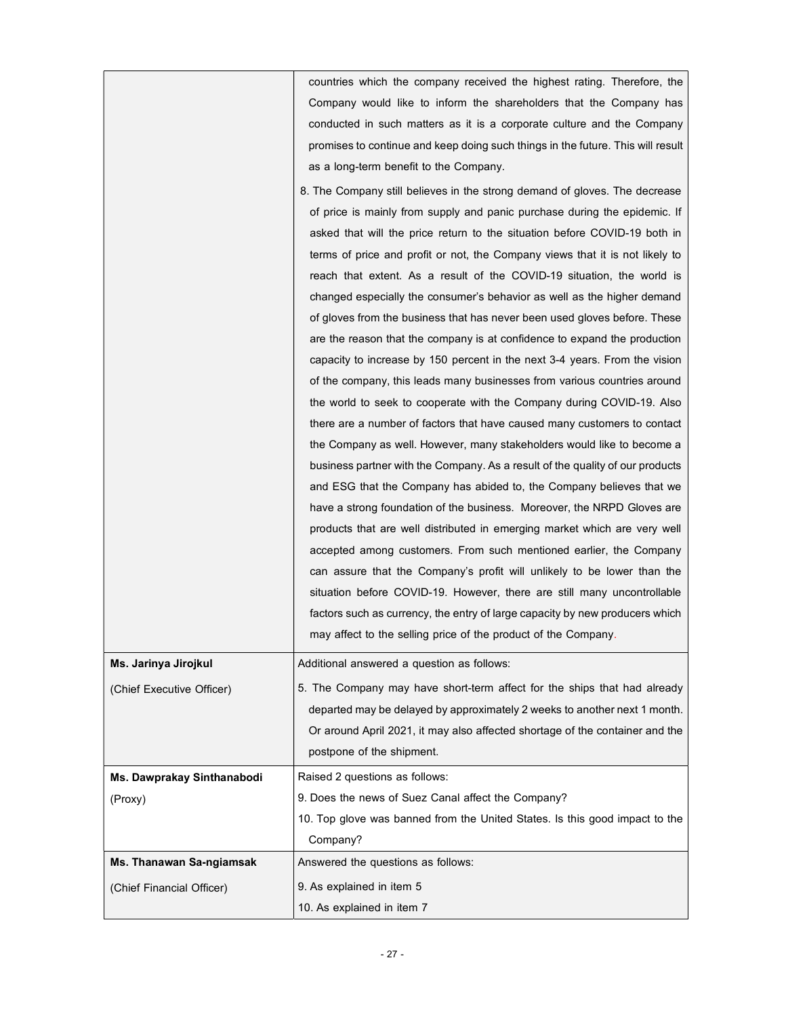countries which the company received the highest rating. Therefore, the Company would like to inform the shareholders that the Company has conducted in such matters as it is a corporate culture and the Company promises to continue and keep doing such things in the future. This will result as a long-term benefit to the Company.

|                            | 8. The Company still believes in the strong demand of gloves. The decrease    |
|----------------------------|-------------------------------------------------------------------------------|
|                            | of price is mainly from supply and panic purchase during the epidemic. If     |
|                            | asked that will the price return to the situation before COVID-19 both in     |
|                            | terms of price and profit or not, the Company views that it is not likely to  |
|                            | reach that extent. As a result of the COVID-19 situation, the world is        |
|                            | changed especially the consumer's behavior as well as the higher demand       |
|                            | of gloves from the business that has never been used gloves before. These     |
|                            | are the reason that the company is at confidence to expand the production     |
|                            | capacity to increase by 150 percent in the next 3-4 years. From the vision    |
|                            | of the company, this leads many businesses from various countries around      |
|                            | the world to seek to cooperate with the Company during COVID-19. Also         |
|                            | there are a number of factors that have caused many customers to contact      |
|                            | the Company as well. However, many stakeholders would like to become a        |
|                            | business partner with the Company. As a result of the quality of our products |
|                            | and ESG that the Company has abided to, the Company believes that we          |
|                            | have a strong foundation of the business. Moreover, the NRPD Gloves are       |
|                            | products that are well distributed in emerging market which are very well     |
|                            | accepted among customers. From such mentioned earlier, the Company            |
|                            | can assure that the Company's profit will unlikely to be lower than the       |
|                            | situation before COVID-19. However, there are still many uncontrollable       |
|                            | factors such as currency, the entry of large capacity by new producers which  |
|                            | may affect to the selling price of the product of the Company.                |
| Ms. Jarinya Jirojkul       | Additional answered a question as follows:                                    |
| (Chief Executive Officer)  | 5. The Company may have short-term affect for the ships that had already      |
|                            | departed may be delayed by approximately 2 weeks to another next 1 month.     |
|                            | Or around April 2021, it may also affected shortage of the container and the  |
|                            | postpone of the shipment.                                                     |
| Ms. Dawprakay Sinthanabodi | Raised 2 questions as follows:                                                |
| (Proxy)                    | 9. Does the news of Suez Canal affect the Company?                            |
|                            | 10. Top glove was banned from the United States. Is this good impact to the   |
|                            | Company?                                                                      |
| Ms. Thanawan Sa-ngiamsak   | Answered the questions as follows:                                            |
| (Chief Financial Officer)  | 9. As explained in item 5                                                     |

10. As explained in item 7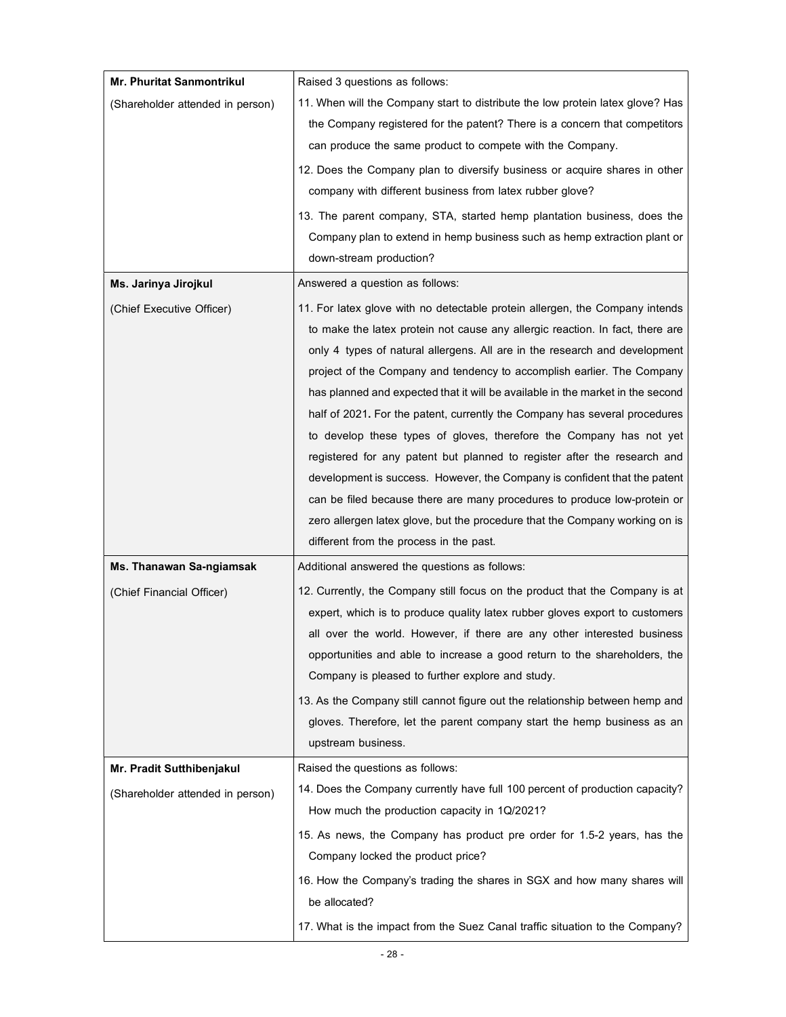| <b>Mr. Phuritat Sanmontrikul</b> | Raised 3 questions as follows:                                                                                                                       |
|----------------------------------|------------------------------------------------------------------------------------------------------------------------------------------------------|
| (Shareholder attended in person) | 11. When will the Company start to distribute the low protein latex glove? Has                                                                       |
|                                  | the Company registered for the patent? There is a concern that competitors                                                                           |
|                                  | can produce the same product to compete with the Company.                                                                                            |
|                                  | 12. Does the Company plan to diversify business or acquire shares in other                                                                           |
|                                  | company with different business from latex rubber glove?                                                                                             |
|                                  | 13. The parent company, STA, started hemp plantation business, does the                                                                              |
|                                  | Company plan to extend in hemp business such as hemp extraction plant or                                                                             |
|                                  | down-stream production?                                                                                                                              |
| Ms. Jarinya Jirojkul             | Answered a question as follows:                                                                                                                      |
| (Chief Executive Officer)        | 11. For latex glove with no detectable protein allergen, the Company intends                                                                         |
|                                  | to make the latex protein not cause any allergic reaction. In fact, there are                                                                        |
|                                  | only 4 types of natural allergens. All are in the research and development                                                                           |
|                                  | project of the Company and tendency to accomplish earlier. The Company                                                                               |
|                                  | has planned and expected that it will be available in the market in the second                                                                       |
|                                  | half of 2021. For the patent, currently the Company has several procedures                                                                           |
|                                  | to develop these types of gloves, therefore the Company has not yet                                                                                  |
|                                  | registered for any patent but planned to register after the research and                                                                             |
|                                  | development is success. However, the Company is confident that the patent                                                                            |
|                                  | can be filed because there are many procedures to produce low-protein or                                                                             |
|                                  | zero allergen latex glove, but the procedure that the Company working on is<br>different from the process in the past.                               |
|                                  |                                                                                                                                                      |
| Ms. Thanawan Sa-ngiamsak         | Additional answered the questions as follows:                                                                                                        |
| (Chief Financial Officer)        | 12. Currently, the Company still focus on the product that the Company is at                                                                         |
|                                  | expert, which is to produce quality latex rubber gloves export to customers                                                                          |
|                                  | all over the world. However, if there are any other interested business<br>opportunities and able to increase a good return to the shareholders, the |
|                                  | Company is pleased to further explore and study.                                                                                                     |
|                                  | 13. As the Company still cannot figure out the relationship between hemp and                                                                         |
|                                  | gloves. Therefore, let the parent company start the hemp business as an                                                                              |
|                                  | upstream business.                                                                                                                                   |
| Mr. Pradit Sutthibenjakul        | Raised the questions as follows:                                                                                                                     |
|                                  | 14. Does the Company currently have full 100 percent of production capacity?                                                                         |
| (Shareholder attended in person) | How much the production capacity in 1Q/2021?                                                                                                         |
|                                  | 15. As news, the Company has product pre order for 1.5-2 years, has the                                                                              |
|                                  | Company locked the product price?                                                                                                                    |
|                                  | 16. How the Company's trading the shares in SGX and how many shares will                                                                             |
|                                  | be allocated?                                                                                                                                        |
|                                  | 17. What is the impact from the Suez Canal traffic situation to the Company?                                                                         |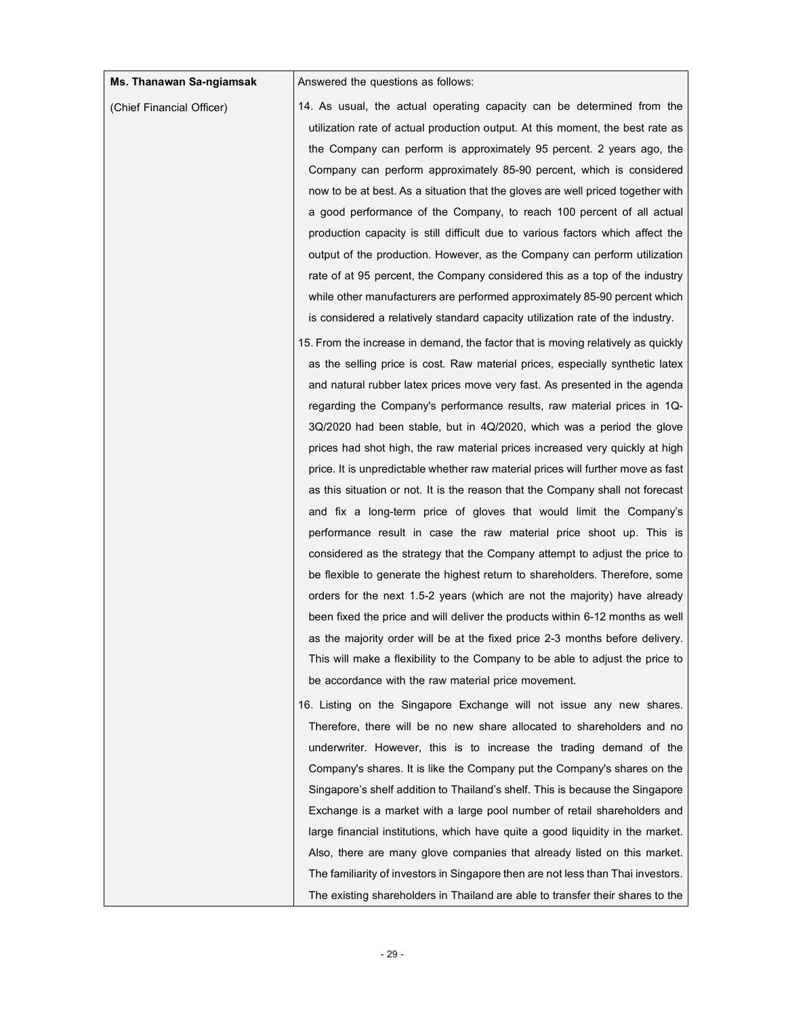| Answered the questions as follows:<br>Ms. Thanawan Sa-ngiamsak<br>14. As usual, the actual operating capacity can be determined from the<br>(Chief Financial Officer)<br>utilization rate of actual production output. At this moment, the best rate as<br>the Company can perform is approximately 95 percent. 2 years ago, the<br>Company can perform approximately 85-90 percent, which is considered<br>now to be at best. As a situation that the gloves are well priced together with<br>a good performance of the Company, to reach 100 percent of all actual<br>production capacity is still difficult due to various factors which affect the<br>output of the production. However, as the Company can perform utilization<br>rate of at 95 percent, the Company considered this as a top of the industry<br>while other manufacturers are performed approximately 85-90 percent which<br>is considered a relatively standard capacity utilization rate of the industry.<br>15. From the increase in demand, the factor that is moving relatively as quickly<br>as the selling price is cost. Raw material prices, especially synthetic latex<br>and natural rubber latex prices move very fast. As presented in the agenda<br>regarding the Company's performance results, raw material prices in 1Q-<br>$3Q/2020$ had been stable, but in $4Q/2020$ , which was a period the glove<br>prices had shot high, the raw material prices increased very quickly at high<br>price. It is unpredictable whether raw material prices will further move as fast<br>as this situation or not. It is the reason that the Company shall not forecast<br>and fix a long-term price of gloves that would limit the Company's<br>performance result in case the raw material price shoot up. This is<br>considered as the strategy that the Company attempt to adjust the price to<br>be flexible to generate the highest return to shareholders. Therefore, some<br>orders for the next 1.5-2 years (which are not the majority) have already<br>been fixed the price and will deliver the products within 6-12 months as well<br>as the majority order will be at the fixed price 2-3 months before delivery.<br>This will make a flexibility to the Company to be able to adjust the price to<br>be accordance with the raw material price movement.<br>16. Listing on the Singapore Exchange will not issue any new shares.<br>Therefore, there will be no new share allocated to shareholders and no<br>underwriter. However, this is to increase the trading demand of the<br>Company's shares. It is like the Company put the Company's shares on the<br>Singapore's shelf addition to Thailand's shelf. This is because the Singapore<br>Exchange is a market with a large pool number of retail shareholders and<br>large financial institutions, which have quite a good liquidity in the market.<br>Also, there are many glove companies that already listed on this market.<br>The familiarity of investors in Singapore then are not less than Thai investors.<br>The existing shareholders in Thailand are able to transfer their shares to the |  |  |
|-----------------------------------------------------------------------------------------------------------------------------------------------------------------------------------------------------------------------------------------------------------------------------------------------------------------------------------------------------------------------------------------------------------------------------------------------------------------------------------------------------------------------------------------------------------------------------------------------------------------------------------------------------------------------------------------------------------------------------------------------------------------------------------------------------------------------------------------------------------------------------------------------------------------------------------------------------------------------------------------------------------------------------------------------------------------------------------------------------------------------------------------------------------------------------------------------------------------------------------------------------------------------------------------------------------------------------------------------------------------------------------------------------------------------------------------------------------------------------------------------------------------------------------------------------------------------------------------------------------------------------------------------------------------------------------------------------------------------------------------------------------------------------------------------------------------------------------------------------------------------------------------------------------------------------------------------------------------------------------------------------------------------------------------------------------------------------------------------------------------------------------------------------------------------------------------------------------------------------------------------------------------------------------------------------------------------------------------------------------------------------------------------------------------------------------------------------------------------------------------------------------------------------------------------------------------------------------------------------------------------------------------------------------------------------------------------------------------------------------------------------------------------------------------------------------------------------------------------------------------------------------------------------------------------------------------------------------------------------------------------------------------------------------------------------------------------------------------------------------------------------------------------------------|--|--|
|                                                                                                                                                                                                                                                                                                                                                                                                                                                                                                                                                                                                                                                                                                                                                                                                                                                                                                                                                                                                                                                                                                                                                                                                                                                                                                                                                                                                                                                                                                                                                                                                                                                                                                                                                                                                                                                                                                                                                                                                                                                                                                                                                                                                                                                                                                                                                                                                                                                                                                                                                                                                                                                                                                                                                                                                                                                                                                                                                                                                                                                                                                                                                           |  |  |
|                                                                                                                                                                                                                                                                                                                                                                                                                                                                                                                                                                                                                                                                                                                                                                                                                                                                                                                                                                                                                                                                                                                                                                                                                                                                                                                                                                                                                                                                                                                                                                                                                                                                                                                                                                                                                                                                                                                                                                                                                                                                                                                                                                                                                                                                                                                                                                                                                                                                                                                                                                                                                                                                                                                                                                                                                                                                                                                                                                                                                                                                                                                                                           |  |  |
|                                                                                                                                                                                                                                                                                                                                                                                                                                                                                                                                                                                                                                                                                                                                                                                                                                                                                                                                                                                                                                                                                                                                                                                                                                                                                                                                                                                                                                                                                                                                                                                                                                                                                                                                                                                                                                                                                                                                                                                                                                                                                                                                                                                                                                                                                                                                                                                                                                                                                                                                                                                                                                                                                                                                                                                                                                                                                                                                                                                                                                                                                                                                                           |  |  |
|                                                                                                                                                                                                                                                                                                                                                                                                                                                                                                                                                                                                                                                                                                                                                                                                                                                                                                                                                                                                                                                                                                                                                                                                                                                                                                                                                                                                                                                                                                                                                                                                                                                                                                                                                                                                                                                                                                                                                                                                                                                                                                                                                                                                                                                                                                                                                                                                                                                                                                                                                                                                                                                                                                                                                                                                                                                                                                                                                                                                                                                                                                                                                           |  |  |
|                                                                                                                                                                                                                                                                                                                                                                                                                                                                                                                                                                                                                                                                                                                                                                                                                                                                                                                                                                                                                                                                                                                                                                                                                                                                                                                                                                                                                                                                                                                                                                                                                                                                                                                                                                                                                                                                                                                                                                                                                                                                                                                                                                                                                                                                                                                                                                                                                                                                                                                                                                                                                                                                                                                                                                                                                                                                                                                                                                                                                                                                                                                                                           |  |  |
|                                                                                                                                                                                                                                                                                                                                                                                                                                                                                                                                                                                                                                                                                                                                                                                                                                                                                                                                                                                                                                                                                                                                                                                                                                                                                                                                                                                                                                                                                                                                                                                                                                                                                                                                                                                                                                                                                                                                                                                                                                                                                                                                                                                                                                                                                                                                                                                                                                                                                                                                                                                                                                                                                                                                                                                                                                                                                                                                                                                                                                                                                                                                                           |  |  |
|                                                                                                                                                                                                                                                                                                                                                                                                                                                                                                                                                                                                                                                                                                                                                                                                                                                                                                                                                                                                                                                                                                                                                                                                                                                                                                                                                                                                                                                                                                                                                                                                                                                                                                                                                                                                                                                                                                                                                                                                                                                                                                                                                                                                                                                                                                                                                                                                                                                                                                                                                                                                                                                                                                                                                                                                                                                                                                                                                                                                                                                                                                                                                           |  |  |
|                                                                                                                                                                                                                                                                                                                                                                                                                                                                                                                                                                                                                                                                                                                                                                                                                                                                                                                                                                                                                                                                                                                                                                                                                                                                                                                                                                                                                                                                                                                                                                                                                                                                                                                                                                                                                                                                                                                                                                                                                                                                                                                                                                                                                                                                                                                                                                                                                                                                                                                                                                                                                                                                                                                                                                                                                                                                                                                                                                                                                                                                                                                                                           |  |  |
|                                                                                                                                                                                                                                                                                                                                                                                                                                                                                                                                                                                                                                                                                                                                                                                                                                                                                                                                                                                                                                                                                                                                                                                                                                                                                                                                                                                                                                                                                                                                                                                                                                                                                                                                                                                                                                                                                                                                                                                                                                                                                                                                                                                                                                                                                                                                                                                                                                                                                                                                                                                                                                                                                                                                                                                                                                                                                                                                                                                                                                                                                                                                                           |  |  |
|                                                                                                                                                                                                                                                                                                                                                                                                                                                                                                                                                                                                                                                                                                                                                                                                                                                                                                                                                                                                                                                                                                                                                                                                                                                                                                                                                                                                                                                                                                                                                                                                                                                                                                                                                                                                                                                                                                                                                                                                                                                                                                                                                                                                                                                                                                                                                                                                                                                                                                                                                                                                                                                                                                                                                                                                                                                                                                                                                                                                                                                                                                                                                           |  |  |
|                                                                                                                                                                                                                                                                                                                                                                                                                                                                                                                                                                                                                                                                                                                                                                                                                                                                                                                                                                                                                                                                                                                                                                                                                                                                                                                                                                                                                                                                                                                                                                                                                                                                                                                                                                                                                                                                                                                                                                                                                                                                                                                                                                                                                                                                                                                                                                                                                                                                                                                                                                                                                                                                                                                                                                                                                                                                                                                                                                                                                                                                                                                                                           |  |  |
|                                                                                                                                                                                                                                                                                                                                                                                                                                                                                                                                                                                                                                                                                                                                                                                                                                                                                                                                                                                                                                                                                                                                                                                                                                                                                                                                                                                                                                                                                                                                                                                                                                                                                                                                                                                                                                                                                                                                                                                                                                                                                                                                                                                                                                                                                                                                                                                                                                                                                                                                                                                                                                                                                                                                                                                                                                                                                                                                                                                                                                                                                                                                                           |  |  |
|                                                                                                                                                                                                                                                                                                                                                                                                                                                                                                                                                                                                                                                                                                                                                                                                                                                                                                                                                                                                                                                                                                                                                                                                                                                                                                                                                                                                                                                                                                                                                                                                                                                                                                                                                                                                                                                                                                                                                                                                                                                                                                                                                                                                                                                                                                                                                                                                                                                                                                                                                                                                                                                                                                                                                                                                                                                                                                                                                                                                                                                                                                                                                           |  |  |
|                                                                                                                                                                                                                                                                                                                                                                                                                                                                                                                                                                                                                                                                                                                                                                                                                                                                                                                                                                                                                                                                                                                                                                                                                                                                                                                                                                                                                                                                                                                                                                                                                                                                                                                                                                                                                                                                                                                                                                                                                                                                                                                                                                                                                                                                                                                                                                                                                                                                                                                                                                                                                                                                                                                                                                                                                                                                                                                                                                                                                                                                                                                                                           |  |  |
|                                                                                                                                                                                                                                                                                                                                                                                                                                                                                                                                                                                                                                                                                                                                                                                                                                                                                                                                                                                                                                                                                                                                                                                                                                                                                                                                                                                                                                                                                                                                                                                                                                                                                                                                                                                                                                                                                                                                                                                                                                                                                                                                                                                                                                                                                                                                                                                                                                                                                                                                                                                                                                                                                                                                                                                                                                                                                                                                                                                                                                                                                                                                                           |  |  |
|                                                                                                                                                                                                                                                                                                                                                                                                                                                                                                                                                                                                                                                                                                                                                                                                                                                                                                                                                                                                                                                                                                                                                                                                                                                                                                                                                                                                                                                                                                                                                                                                                                                                                                                                                                                                                                                                                                                                                                                                                                                                                                                                                                                                                                                                                                                                                                                                                                                                                                                                                                                                                                                                                                                                                                                                                                                                                                                                                                                                                                                                                                                                                           |  |  |
|                                                                                                                                                                                                                                                                                                                                                                                                                                                                                                                                                                                                                                                                                                                                                                                                                                                                                                                                                                                                                                                                                                                                                                                                                                                                                                                                                                                                                                                                                                                                                                                                                                                                                                                                                                                                                                                                                                                                                                                                                                                                                                                                                                                                                                                                                                                                                                                                                                                                                                                                                                                                                                                                                                                                                                                                                                                                                                                                                                                                                                                                                                                                                           |  |  |
|                                                                                                                                                                                                                                                                                                                                                                                                                                                                                                                                                                                                                                                                                                                                                                                                                                                                                                                                                                                                                                                                                                                                                                                                                                                                                                                                                                                                                                                                                                                                                                                                                                                                                                                                                                                                                                                                                                                                                                                                                                                                                                                                                                                                                                                                                                                                                                                                                                                                                                                                                                                                                                                                                                                                                                                                                                                                                                                                                                                                                                                                                                                                                           |  |  |
|                                                                                                                                                                                                                                                                                                                                                                                                                                                                                                                                                                                                                                                                                                                                                                                                                                                                                                                                                                                                                                                                                                                                                                                                                                                                                                                                                                                                                                                                                                                                                                                                                                                                                                                                                                                                                                                                                                                                                                                                                                                                                                                                                                                                                                                                                                                                                                                                                                                                                                                                                                                                                                                                                                                                                                                                                                                                                                                                                                                                                                                                                                                                                           |  |  |
|                                                                                                                                                                                                                                                                                                                                                                                                                                                                                                                                                                                                                                                                                                                                                                                                                                                                                                                                                                                                                                                                                                                                                                                                                                                                                                                                                                                                                                                                                                                                                                                                                                                                                                                                                                                                                                                                                                                                                                                                                                                                                                                                                                                                                                                                                                                                                                                                                                                                                                                                                                                                                                                                                                                                                                                                                                                                                                                                                                                                                                                                                                                                                           |  |  |
|                                                                                                                                                                                                                                                                                                                                                                                                                                                                                                                                                                                                                                                                                                                                                                                                                                                                                                                                                                                                                                                                                                                                                                                                                                                                                                                                                                                                                                                                                                                                                                                                                                                                                                                                                                                                                                                                                                                                                                                                                                                                                                                                                                                                                                                                                                                                                                                                                                                                                                                                                                                                                                                                                                                                                                                                                                                                                                                                                                                                                                                                                                                                                           |  |  |
|                                                                                                                                                                                                                                                                                                                                                                                                                                                                                                                                                                                                                                                                                                                                                                                                                                                                                                                                                                                                                                                                                                                                                                                                                                                                                                                                                                                                                                                                                                                                                                                                                                                                                                                                                                                                                                                                                                                                                                                                                                                                                                                                                                                                                                                                                                                                                                                                                                                                                                                                                                                                                                                                                                                                                                                                                                                                                                                                                                                                                                                                                                                                                           |  |  |
|                                                                                                                                                                                                                                                                                                                                                                                                                                                                                                                                                                                                                                                                                                                                                                                                                                                                                                                                                                                                                                                                                                                                                                                                                                                                                                                                                                                                                                                                                                                                                                                                                                                                                                                                                                                                                                                                                                                                                                                                                                                                                                                                                                                                                                                                                                                                                                                                                                                                                                                                                                                                                                                                                                                                                                                                                                                                                                                                                                                                                                                                                                                                                           |  |  |
|                                                                                                                                                                                                                                                                                                                                                                                                                                                                                                                                                                                                                                                                                                                                                                                                                                                                                                                                                                                                                                                                                                                                                                                                                                                                                                                                                                                                                                                                                                                                                                                                                                                                                                                                                                                                                                                                                                                                                                                                                                                                                                                                                                                                                                                                                                                                                                                                                                                                                                                                                                                                                                                                                                                                                                                                                                                                                                                                                                                                                                                                                                                                                           |  |  |
|                                                                                                                                                                                                                                                                                                                                                                                                                                                                                                                                                                                                                                                                                                                                                                                                                                                                                                                                                                                                                                                                                                                                                                                                                                                                                                                                                                                                                                                                                                                                                                                                                                                                                                                                                                                                                                                                                                                                                                                                                                                                                                                                                                                                                                                                                                                                                                                                                                                                                                                                                                                                                                                                                                                                                                                                                                                                                                                                                                                                                                                                                                                                                           |  |  |
|                                                                                                                                                                                                                                                                                                                                                                                                                                                                                                                                                                                                                                                                                                                                                                                                                                                                                                                                                                                                                                                                                                                                                                                                                                                                                                                                                                                                                                                                                                                                                                                                                                                                                                                                                                                                                                                                                                                                                                                                                                                                                                                                                                                                                                                                                                                                                                                                                                                                                                                                                                                                                                                                                                                                                                                                                                                                                                                                                                                                                                                                                                                                                           |  |  |
|                                                                                                                                                                                                                                                                                                                                                                                                                                                                                                                                                                                                                                                                                                                                                                                                                                                                                                                                                                                                                                                                                                                                                                                                                                                                                                                                                                                                                                                                                                                                                                                                                                                                                                                                                                                                                                                                                                                                                                                                                                                                                                                                                                                                                                                                                                                                                                                                                                                                                                                                                                                                                                                                                                                                                                                                                                                                                                                                                                                                                                                                                                                                                           |  |  |
|                                                                                                                                                                                                                                                                                                                                                                                                                                                                                                                                                                                                                                                                                                                                                                                                                                                                                                                                                                                                                                                                                                                                                                                                                                                                                                                                                                                                                                                                                                                                                                                                                                                                                                                                                                                                                                                                                                                                                                                                                                                                                                                                                                                                                                                                                                                                                                                                                                                                                                                                                                                                                                                                                                                                                                                                                                                                                                                                                                                                                                                                                                                                                           |  |  |
|                                                                                                                                                                                                                                                                                                                                                                                                                                                                                                                                                                                                                                                                                                                                                                                                                                                                                                                                                                                                                                                                                                                                                                                                                                                                                                                                                                                                                                                                                                                                                                                                                                                                                                                                                                                                                                                                                                                                                                                                                                                                                                                                                                                                                                                                                                                                                                                                                                                                                                                                                                                                                                                                                                                                                                                                                                                                                                                                                                                                                                                                                                                                                           |  |  |
|                                                                                                                                                                                                                                                                                                                                                                                                                                                                                                                                                                                                                                                                                                                                                                                                                                                                                                                                                                                                                                                                                                                                                                                                                                                                                                                                                                                                                                                                                                                                                                                                                                                                                                                                                                                                                                                                                                                                                                                                                                                                                                                                                                                                                                                                                                                                                                                                                                                                                                                                                                                                                                                                                                                                                                                                                                                                                                                                                                                                                                                                                                                                                           |  |  |
|                                                                                                                                                                                                                                                                                                                                                                                                                                                                                                                                                                                                                                                                                                                                                                                                                                                                                                                                                                                                                                                                                                                                                                                                                                                                                                                                                                                                                                                                                                                                                                                                                                                                                                                                                                                                                                                                                                                                                                                                                                                                                                                                                                                                                                                                                                                                                                                                                                                                                                                                                                                                                                                                                                                                                                                                                                                                                                                                                                                                                                                                                                                                                           |  |  |
|                                                                                                                                                                                                                                                                                                                                                                                                                                                                                                                                                                                                                                                                                                                                                                                                                                                                                                                                                                                                                                                                                                                                                                                                                                                                                                                                                                                                                                                                                                                                                                                                                                                                                                                                                                                                                                                                                                                                                                                                                                                                                                                                                                                                                                                                                                                                                                                                                                                                                                                                                                                                                                                                                                                                                                                                                                                                                                                                                                                                                                                                                                                                                           |  |  |
|                                                                                                                                                                                                                                                                                                                                                                                                                                                                                                                                                                                                                                                                                                                                                                                                                                                                                                                                                                                                                                                                                                                                                                                                                                                                                                                                                                                                                                                                                                                                                                                                                                                                                                                                                                                                                                                                                                                                                                                                                                                                                                                                                                                                                                                                                                                                                                                                                                                                                                                                                                                                                                                                                                                                                                                                                                                                                                                                                                                                                                                                                                                                                           |  |  |
|                                                                                                                                                                                                                                                                                                                                                                                                                                                                                                                                                                                                                                                                                                                                                                                                                                                                                                                                                                                                                                                                                                                                                                                                                                                                                                                                                                                                                                                                                                                                                                                                                                                                                                                                                                                                                                                                                                                                                                                                                                                                                                                                                                                                                                                                                                                                                                                                                                                                                                                                                                                                                                                                                                                                                                                                                                                                                                                                                                                                                                                                                                                                                           |  |  |
|                                                                                                                                                                                                                                                                                                                                                                                                                                                                                                                                                                                                                                                                                                                                                                                                                                                                                                                                                                                                                                                                                                                                                                                                                                                                                                                                                                                                                                                                                                                                                                                                                                                                                                                                                                                                                                                                                                                                                                                                                                                                                                                                                                                                                                                                                                                                                                                                                                                                                                                                                                                                                                                                                                                                                                                                                                                                                                                                                                                                                                                                                                                                                           |  |  |
|                                                                                                                                                                                                                                                                                                                                                                                                                                                                                                                                                                                                                                                                                                                                                                                                                                                                                                                                                                                                                                                                                                                                                                                                                                                                                                                                                                                                                                                                                                                                                                                                                                                                                                                                                                                                                                                                                                                                                                                                                                                                                                                                                                                                                                                                                                                                                                                                                                                                                                                                                                                                                                                                                                                                                                                                                                                                                                                                                                                                                                                                                                                                                           |  |  |
|                                                                                                                                                                                                                                                                                                                                                                                                                                                                                                                                                                                                                                                                                                                                                                                                                                                                                                                                                                                                                                                                                                                                                                                                                                                                                                                                                                                                                                                                                                                                                                                                                                                                                                                                                                                                                                                                                                                                                                                                                                                                                                                                                                                                                                                                                                                                                                                                                                                                                                                                                                                                                                                                                                                                                                                                                                                                                                                                                                                                                                                                                                                                                           |  |  |
|                                                                                                                                                                                                                                                                                                                                                                                                                                                                                                                                                                                                                                                                                                                                                                                                                                                                                                                                                                                                                                                                                                                                                                                                                                                                                                                                                                                                                                                                                                                                                                                                                                                                                                                                                                                                                                                                                                                                                                                                                                                                                                                                                                                                                                                                                                                                                                                                                                                                                                                                                                                                                                                                                                                                                                                                                                                                                                                                                                                                                                                                                                                                                           |  |  |
|                                                                                                                                                                                                                                                                                                                                                                                                                                                                                                                                                                                                                                                                                                                                                                                                                                                                                                                                                                                                                                                                                                                                                                                                                                                                                                                                                                                                                                                                                                                                                                                                                                                                                                                                                                                                                                                                                                                                                                                                                                                                                                                                                                                                                                                                                                                                                                                                                                                                                                                                                                                                                                                                                                                                                                                                                                                                                                                                                                                                                                                                                                                                                           |  |  |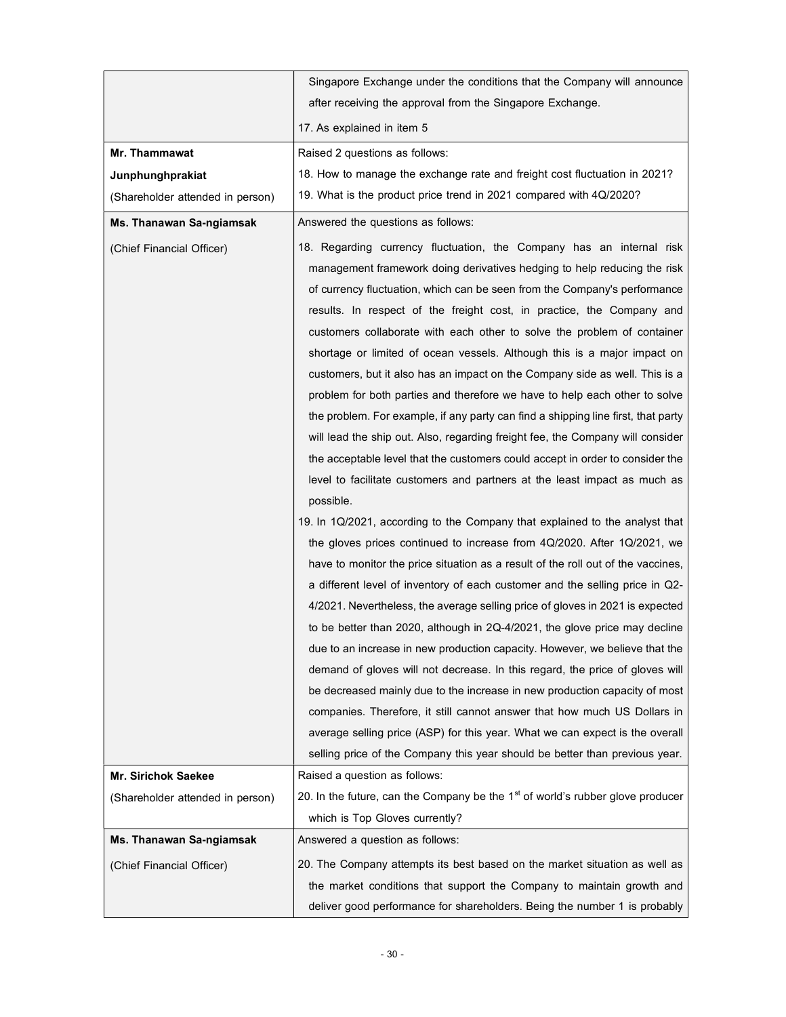|                                  | Singapore Exchange under the conditions that the Company will announce                                                                                                                                                                                                                                                                                                                                                                                                                                                                                                                                                                                                                                                                                                                                                                                                                                                                                                                                                                                                                                                                                                                                                                                                                                                                                                                                                                                                                                                                                                                                                                                                                                                                                                                                                                                                                                                                                            |  |
|----------------------------------|-------------------------------------------------------------------------------------------------------------------------------------------------------------------------------------------------------------------------------------------------------------------------------------------------------------------------------------------------------------------------------------------------------------------------------------------------------------------------------------------------------------------------------------------------------------------------------------------------------------------------------------------------------------------------------------------------------------------------------------------------------------------------------------------------------------------------------------------------------------------------------------------------------------------------------------------------------------------------------------------------------------------------------------------------------------------------------------------------------------------------------------------------------------------------------------------------------------------------------------------------------------------------------------------------------------------------------------------------------------------------------------------------------------------------------------------------------------------------------------------------------------------------------------------------------------------------------------------------------------------------------------------------------------------------------------------------------------------------------------------------------------------------------------------------------------------------------------------------------------------------------------------------------------------------------------------------------------------|--|
|                                  | after receiving the approval from the Singapore Exchange.                                                                                                                                                                                                                                                                                                                                                                                                                                                                                                                                                                                                                                                                                                                                                                                                                                                                                                                                                                                                                                                                                                                                                                                                                                                                                                                                                                                                                                                                                                                                                                                                                                                                                                                                                                                                                                                                                                         |  |
|                                  | 17. As explained in item 5                                                                                                                                                                                                                                                                                                                                                                                                                                                                                                                                                                                                                                                                                                                                                                                                                                                                                                                                                                                                                                                                                                                                                                                                                                                                                                                                                                                                                                                                                                                                                                                                                                                                                                                                                                                                                                                                                                                                        |  |
| Mr. Thammawat                    | Raised 2 questions as follows:                                                                                                                                                                                                                                                                                                                                                                                                                                                                                                                                                                                                                                                                                                                                                                                                                                                                                                                                                                                                                                                                                                                                                                                                                                                                                                                                                                                                                                                                                                                                                                                                                                                                                                                                                                                                                                                                                                                                    |  |
| Junphunghprakiat                 | 18. How to manage the exchange rate and freight cost fluctuation in 2021?                                                                                                                                                                                                                                                                                                                                                                                                                                                                                                                                                                                                                                                                                                                                                                                                                                                                                                                                                                                                                                                                                                                                                                                                                                                                                                                                                                                                                                                                                                                                                                                                                                                                                                                                                                                                                                                                                         |  |
| (Shareholder attended in person) | 19. What is the product price trend in 2021 compared with 4Q/2020?                                                                                                                                                                                                                                                                                                                                                                                                                                                                                                                                                                                                                                                                                                                                                                                                                                                                                                                                                                                                                                                                                                                                                                                                                                                                                                                                                                                                                                                                                                                                                                                                                                                                                                                                                                                                                                                                                                |  |
| <b>Ms. Thanawan Sa-ngiamsak</b>  | Answered the questions as follows:                                                                                                                                                                                                                                                                                                                                                                                                                                                                                                                                                                                                                                                                                                                                                                                                                                                                                                                                                                                                                                                                                                                                                                                                                                                                                                                                                                                                                                                                                                                                                                                                                                                                                                                                                                                                                                                                                                                                |  |
| (Chief Financial Officer)        | 18. Regarding currency fluctuation, the Company has an internal risk<br>management framework doing derivatives hedging to help reducing the risk<br>of currency fluctuation, which can be seen from the Company's performance<br>results. In respect of the freight cost, in practice, the Company and<br>customers collaborate with each other to solve the problem of container<br>shortage or limited of ocean vessels. Although this is a major impact on<br>customers, but it also has an impact on the Company side as well. This is a<br>problem for both parties and therefore we have to help each other to solve<br>the problem. For example, if any party can find a shipping line first, that party<br>will lead the ship out. Also, regarding freight fee, the Company will consider<br>the acceptable level that the customers could accept in order to consider the<br>level to facilitate customers and partners at the least impact as much as<br>possible.<br>19. In 1Q/2021, according to the Company that explained to the analyst that<br>the gloves prices continued to increase from 4Q/2020. After 1Q/2021, we<br>have to monitor the price situation as a result of the roll out of the vaccines,<br>a different level of inventory of each customer and the selling price in Q2-<br>4/2021. Nevertheless, the average selling price of gloves in 2021 is expected<br>to be better than 2020, although in 2Q-4/2021, the glove price may decline<br>due to an increase in new production capacity. However, we believe that the<br>demand of gloves will not decrease. In this regard, the price of gloves will<br>be decreased mainly due to the increase in new production capacity of most<br>companies. Therefore, it still cannot answer that how much US Dollars in<br>average selling price (ASP) for this year. What we can expect is the overall<br>selling price of the Company this year should be better than previous year. |  |
| <b>Mr. Sirichok Saekee</b>       | Raised a question as follows:                                                                                                                                                                                                                                                                                                                                                                                                                                                                                                                                                                                                                                                                                                                                                                                                                                                                                                                                                                                                                                                                                                                                                                                                                                                                                                                                                                                                                                                                                                                                                                                                                                                                                                                                                                                                                                                                                                                                     |  |
| (Shareholder attended in person) | 20. In the future, can the Company be the $1st$ of world's rubber glove producer                                                                                                                                                                                                                                                                                                                                                                                                                                                                                                                                                                                                                                                                                                                                                                                                                                                                                                                                                                                                                                                                                                                                                                                                                                                                                                                                                                                                                                                                                                                                                                                                                                                                                                                                                                                                                                                                                  |  |
|                                  | which is Top Gloves currently?                                                                                                                                                                                                                                                                                                                                                                                                                                                                                                                                                                                                                                                                                                                                                                                                                                                                                                                                                                                                                                                                                                                                                                                                                                                                                                                                                                                                                                                                                                                                                                                                                                                                                                                                                                                                                                                                                                                                    |  |
| Ms. Thanawan Sa-ngiamsak         | Answered a question as follows:                                                                                                                                                                                                                                                                                                                                                                                                                                                                                                                                                                                                                                                                                                                                                                                                                                                                                                                                                                                                                                                                                                                                                                                                                                                                                                                                                                                                                                                                                                                                                                                                                                                                                                                                                                                                                                                                                                                                   |  |
| (Chief Financial Officer)        | 20. The Company attempts its best based on the market situation as well as                                                                                                                                                                                                                                                                                                                                                                                                                                                                                                                                                                                                                                                                                                                                                                                                                                                                                                                                                                                                                                                                                                                                                                                                                                                                                                                                                                                                                                                                                                                                                                                                                                                                                                                                                                                                                                                                                        |  |
|                                  | the market conditions that support the Company to maintain growth and                                                                                                                                                                                                                                                                                                                                                                                                                                                                                                                                                                                                                                                                                                                                                                                                                                                                                                                                                                                                                                                                                                                                                                                                                                                                                                                                                                                                                                                                                                                                                                                                                                                                                                                                                                                                                                                                                             |  |
|                                  | deliver good performance for shareholders. Being the number 1 is probably                                                                                                                                                                                                                                                                                                                                                                                                                                                                                                                                                                                                                                                                                                                                                                                                                                                                                                                                                                                                                                                                                                                                                                                                                                                                                                                                                                                                                                                                                                                                                                                                                                                                                                                                                                                                                                                                                         |  |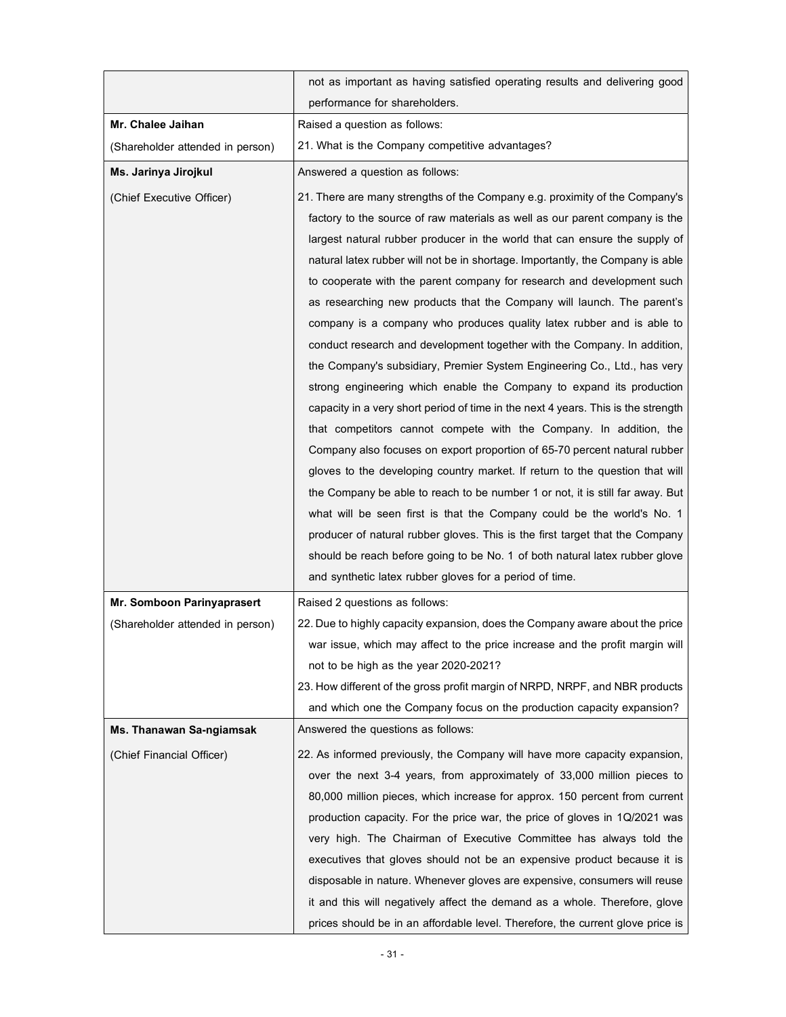|                                  | not as important as having satisfied operating results and delivering good                                                                                                                                                                                                                                                                                                                                                                                                                                                                                                                                                                                                                                                                                                                                                                                                                                                                                                                                                                                                                                                                                                                                                                                                                                                                                                                                                                |
|----------------------------------|-------------------------------------------------------------------------------------------------------------------------------------------------------------------------------------------------------------------------------------------------------------------------------------------------------------------------------------------------------------------------------------------------------------------------------------------------------------------------------------------------------------------------------------------------------------------------------------------------------------------------------------------------------------------------------------------------------------------------------------------------------------------------------------------------------------------------------------------------------------------------------------------------------------------------------------------------------------------------------------------------------------------------------------------------------------------------------------------------------------------------------------------------------------------------------------------------------------------------------------------------------------------------------------------------------------------------------------------------------------------------------------------------------------------------------------------|
|                                  | performance for shareholders.                                                                                                                                                                                                                                                                                                                                                                                                                                                                                                                                                                                                                                                                                                                                                                                                                                                                                                                                                                                                                                                                                                                                                                                                                                                                                                                                                                                                             |
| Mr. Chalee Jaihan                | Raised a question as follows:                                                                                                                                                                                                                                                                                                                                                                                                                                                                                                                                                                                                                                                                                                                                                                                                                                                                                                                                                                                                                                                                                                                                                                                                                                                                                                                                                                                                             |
| (Shareholder attended in person) | 21. What is the Company competitive advantages?                                                                                                                                                                                                                                                                                                                                                                                                                                                                                                                                                                                                                                                                                                                                                                                                                                                                                                                                                                                                                                                                                                                                                                                                                                                                                                                                                                                           |
| Ms. Jarinya Jirojkul             | Answered a question as follows:                                                                                                                                                                                                                                                                                                                                                                                                                                                                                                                                                                                                                                                                                                                                                                                                                                                                                                                                                                                                                                                                                                                                                                                                                                                                                                                                                                                                           |
| (Chief Executive Officer)        | 21. There are many strengths of the Company e.g. proximity of the Company's<br>factory to the source of raw materials as well as our parent company is the<br>largest natural rubber producer in the world that can ensure the supply of<br>natural latex rubber will not be in shortage. Importantly, the Company is able<br>to cooperate with the parent company for research and development such<br>as researching new products that the Company will launch. The parent's<br>company is a company who produces quality latex rubber and is able to<br>conduct research and development together with the Company. In addition,<br>the Company's subsidiary, Premier System Engineering Co., Ltd., has very<br>strong engineering which enable the Company to expand its production<br>capacity in a very short period of time in the next 4 years. This is the strength<br>that competitors cannot compete with the Company. In addition, the<br>Company also focuses on export proportion of 65-70 percent natural rubber<br>gloves to the developing country market. If return to the question that will<br>the Company be able to reach to be number 1 or not, it is still far away. But<br>what will be seen first is that the Company could be the world's No. 1<br>producer of natural rubber gloves. This is the first target that the Company<br>should be reach before going to be No. 1 of both natural latex rubber glove |
|                                  | and synthetic latex rubber gloves for a period of time.                                                                                                                                                                                                                                                                                                                                                                                                                                                                                                                                                                                                                                                                                                                                                                                                                                                                                                                                                                                                                                                                                                                                                                                                                                                                                                                                                                                   |
| Mr. Somboon Parinyaprasert       | Raised 2 questions as follows:                                                                                                                                                                                                                                                                                                                                                                                                                                                                                                                                                                                                                                                                                                                                                                                                                                                                                                                                                                                                                                                                                                                                                                                                                                                                                                                                                                                                            |
| (Shareholder attended in person) | 22. Due to highly capacity expansion, does the Company aware about the price<br>war issue, which may affect to the price increase and the profit margin will<br>not to be high as the year 2020-2021?<br>23. How different of the gross profit margin of NRPD, NRPF, and NBR products<br>and which one the Company focus on the production capacity expansion?                                                                                                                                                                                                                                                                                                                                                                                                                                                                                                                                                                                                                                                                                                                                                                                                                                                                                                                                                                                                                                                                            |
| Ms. Thanawan Sa-ngiamsak         | Answered the questions as follows:                                                                                                                                                                                                                                                                                                                                                                                                                                                                                                                                                                                                                                                                                                                                                                                                                                                                                                                                                                                                                                                                                                                                                                                                                                                                                                                                                                                                        |
| (Chief Financial Officer)        | 22. As informed previously, the Company will have more capacity expansion,<br>over the next 3-4 years, from approximately of 33,000 million pieces to<br>80,000 million pieces, which increase for approx. 150 percent from current<br>production capacity. For the price war, the price of gloves in 1Q/2021 was<br>very high. The Chairman of Executive Committee has always told the<br>executives that gloves should not be an expensive product because it is<br>disposable in nature. Whenever gloves are expensive, consumers will reuse<br>it and this will negatively affect the demand as a whole. Therefore, glove<br>prices should be in an affordable level. Therefore, the current glove price is                                                                                                                                                                                                                                                                                                                                                                                                                                                                                                                                                                                                                                                                                                                           |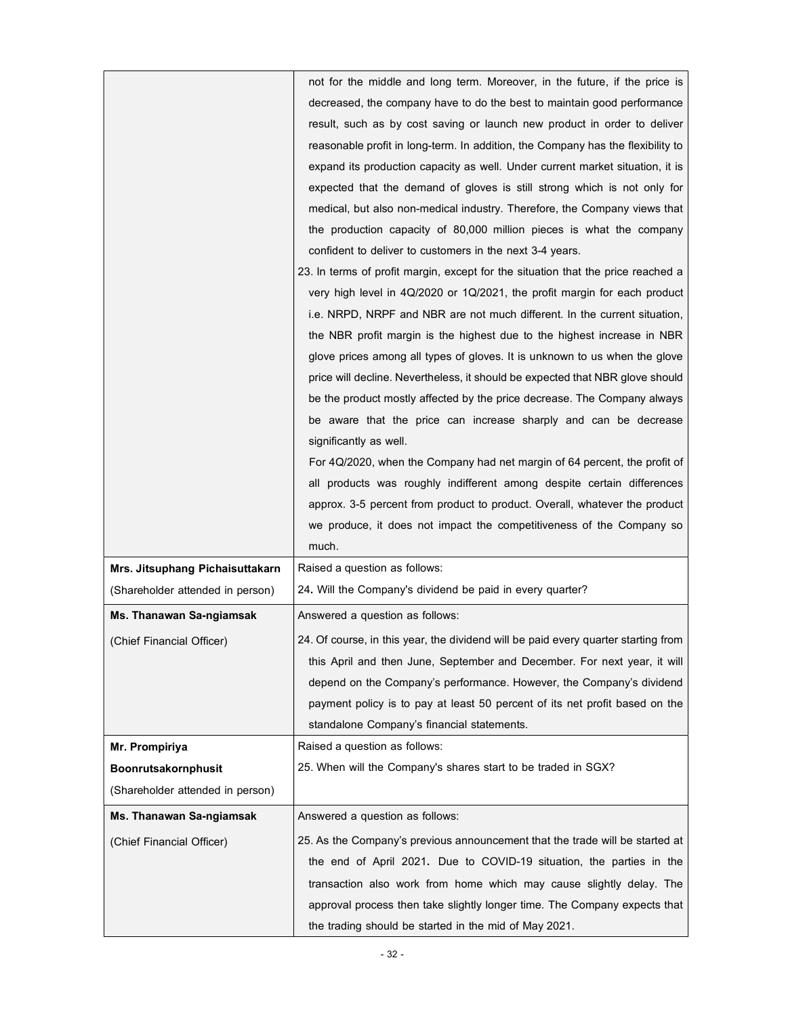|                                  | not for the middle and long term. Moreover, in the future, if the price is         |
|----------------------------------|------------------------------------------------------------------------------------|
|                                  | decreased, the company have to do the best to maintain good performance            |
|                                  | result, such as by cost saving or launch new product in order to deliver           |
|                                  | reasonable profit in long-term. In addition, the Company has the flexibility to    |
|                                  | expand its production capacity as well. Under current market situation, it is      |
|                                  | expected that the demand of gloves is still strong which is not only for           |
|                                  | medical, but also non-medical industry. Therefore, the Company views that          |
|                                  | the production capacity of 80,000 million pieces is what the company               |
|                                  | confident to deliver to customers in the next 3-4 years.                           |
|                                  | 23. In terms of profit margin, except for the situation that the price reached a   |
|                                  | very high level in 4Q/2020 or 1Q/2021, the profit margin for each product          |
|                                  | i.e. NRPD, NRPF and NBR are not much different. In the current situation,          |
|                                  | the NBR profit margin is the highest due to the highest increase in NBR            |
|                                  | glove prices among all types of gloves. It is unknown to us when the glove         |
|                                  | price will decline. Nevertheless, it should be expected that NBR glove should      |
|                                  | be the product mostly affected by the price decrease. The Company always           |
|                                  | be aware that the price can increase sharply and can be decrease                   |
|                                  | significantly as well.                                                             |
|                                  | For 4Q/2020, when the Company had net margin of 64 percent, the profit of          |
|                                  | all products was roughly indifferent among despite certain differences             |
|                                  | approx. 3-5 percent from product to product. Overall, whatever the product         |
|                                  | we produce, it does not impact the competitiveness of the Company so               |
|                                  | much.                                                                              |
| Mrs. Jitsuphang Pichaisuttakarn  | Raised a question as follows:                                                      |
| (Shareholder attended in person) | 24. Will the Company's dividend be paid in every quarter?                          |
| Ms. Thanawan Sa-ngiamsak         | Answered a question as follows:                                                    |
| (Chief Financial Officer)        | 24. Of course, in this year, the dividend will be paid every quarter starting from |
|                                  | this April and then June, September and December. For next year, it will           |
|                                  | depend on the Company's performance. However, the Company's dividend               |
|                                  | payment policy is to pay at least 50 percent of its net profit based on the        |
|                                  | standalone Company's financial statements.                                         |
| Mr. Prompiriya                   | Raised a question as follows:                                                      |
| Boonrutsakornphusit              | 25. When will the Company's shares start to be traded in SGX?                      |
| (Shareholder attended in person) |                                                                                    |
| Ms. Thanawan Sa-ngiamsak         | Answered a question as follows:                                                    |
| (Chief Financial Officer)        | 25. As the Company's previous announcement that the trade will be started at       |
|                                  | the end of April 2021. Due to COVID-19 situation, the parties in the               |
|                                  | transaction also work from home which may cause slightly delay. The                |
|                                  | approval process then take slightly longer time. The Company expects that          |
|                                  | the trading should be started in the mid of May 2021.                              |